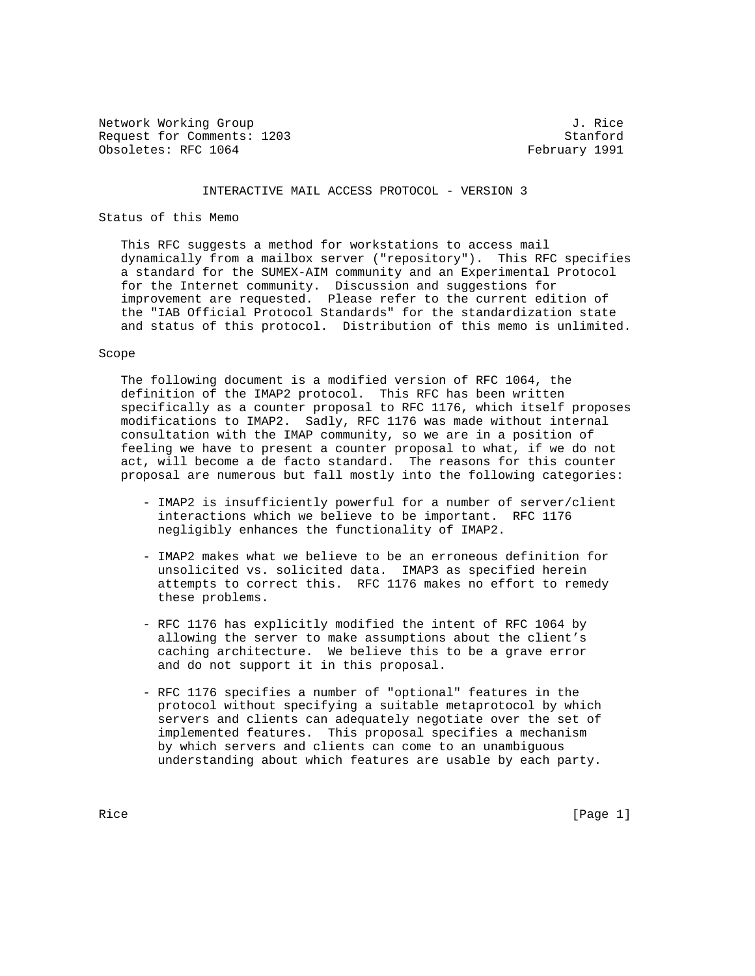Network Working Group 3. The Second Second Second Second Second Second Second Second Second Second Second Second Second Second Second Second Second Second Second Second Second Second Second Second Second Second Second Seco Request for Comments: 1203 Stanford Obsoletes: RFC 1064 February 1991

#### INTERACTIVE MAIL ACCESS PROTOCOL - VERSION 3

# Status of this Memo

 This RFC suggests a method for workstations to access mail dynamically from a mailbox server ("repository"). This RFC specifies a standard for the SUMEX-AIM community and an Experimental Protocol for the Internet community. Discussion and suggestions for improvement are requested. Please refer to the current edition of the "IAB Official Protocol Standards" for the standardization state and status of this protocol. Distribution of this memo is unlimited.

### Scope

 The following document is a modified version of RFC 1064, the definition of the IMAP2 protocol. This RFC has been written specifically as a counter proposal to RFC 1176, which itself proposes modifications to IMAP2. Sadly, RFC 1176 was made without internal consultation with the IMAP community, so we are in a position of feeling we have to present a counter proposal to what, if we do not act, will become a de facto standard. The reasons for this counter proposal are numerous but fall mostly into the following categories:

- IMAP2 is insufficiently powerful for a number of server/client interactions which we believe to be important. RFC 1176 negligibly enhances the functionality of IMAP2.
- IMAP2 makes what we believe to be an erroneous definition for unsolicited vs. solicited data. IMAP3 as specified herein attempts to correct this. RFC 1176 makes no effort to remedy these problems.
- RFC 1176 has explicitly modified the intent of RFC 1064 by allowing the server to make assumptions about the client's caching architecture. We believe this to be a grave error and do not support it in this proposal.
- RFC 1176 specifies a number of "optional" features in the protocol without specifying a suitable metaprotocol by which servers and clients can adequately negotiate over the set of implemented features. This proposal specifies a mechanism by which servers and clients can come to an unambiguous understanding about which features are usable by each party.

Rice [Page 1]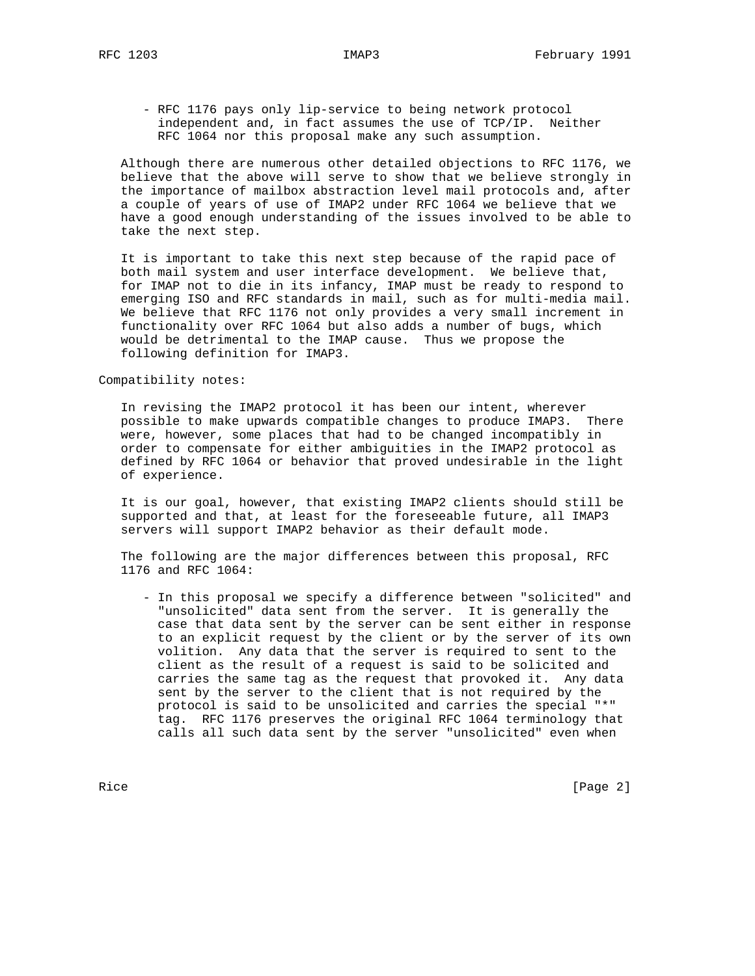- RFC 1176 pays only lip-service to being network protocol independent and, in fact assumes the use of TCP/IP. Neither RFC 1064 nor this proposal make any such assumption.

 Although there are numerous other detailed objections to RFC 1176, we believe that the above will serve to show that we believe strongly in the importance of mailbox abstraction level mail protocols and, after a couple of years of use of IMAP2 under RFC 1064 we believe that we have a good enough understanding of the issues involved to be able to take the next step.

 It is important to take this next step because of the rapid pace of both mail system and user interface development. We believe that, for IMAP not to die in its infancy, IMAP must be ready to respond to emerging ISO and RFC standards in mail, such as for multi-media mail. We believe that RFC 1176 not only provides a very small increment in functionality over RFC 1064 but also adds a number of bugs, which would be detrimental to the IMAP cause. Thus we propose the following definition for IMAP3.

Compatibility notes:

 In revising the IMAP2 protocol it has been our intent, wherever possible to make upwards compatible changes to produce IMAP3. There were, however, some places that had to be changed incompatibly in order to compensate for either ambiguities in the IMAP2 protocol as defined by RFC 1064 or behavior that proved undesirable in the light of experience.

 It is our goal, however, that existing IMAP2 clients should still be supported and that, at least for the foreseeable future, all IMAP3 servers will support IMAP2 behavior as their default mode.

 The following are the major differences between this proposal, RFC 1176 and RFC 1064:

 - In this proposal we specify a difference between "solicited" and "unsolicited" data sent from the server. It is generally the case that data sent by the server can be sent either in response to an explicit request by the client or by the server of its own volition. Any data that the server is required to sent to the client as the result of a request is said to be solicited and carries the same tag as the request that provoked it. Any data sent by the server to the client that is not required by the protocol is said to be unsolicited and carries the special "\*" tag. RFC 1176 preserves the original RFC 1064 terminology that calls all such data sent by the server "unsolicited" even when

Rice **Example 2** (Page 2)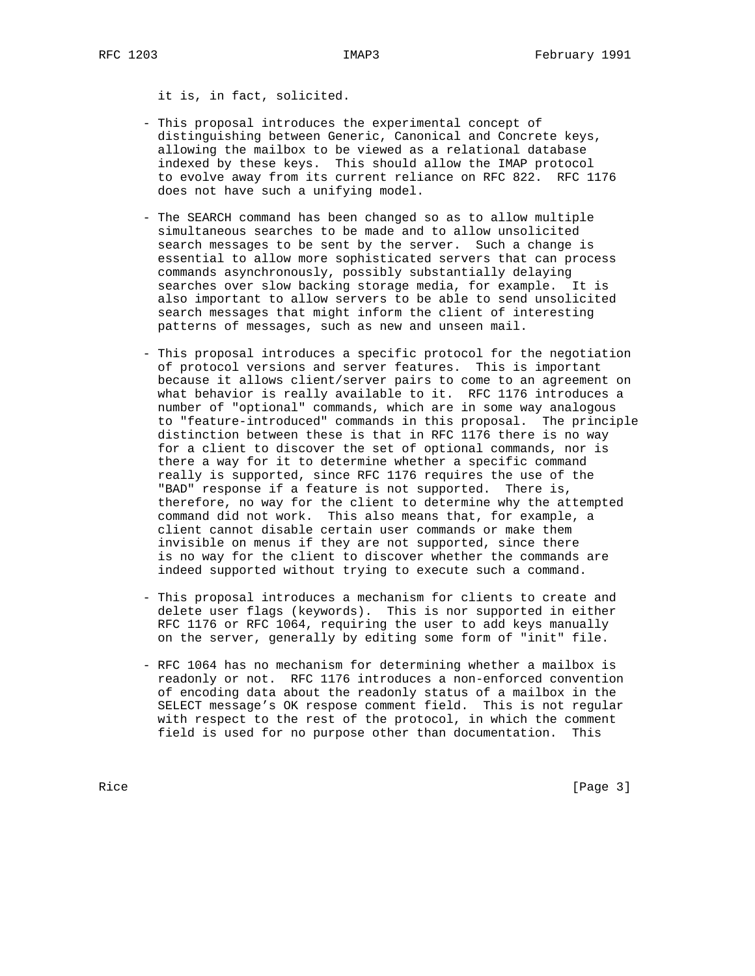it is, in fact, solicited.

- This proposal introduces the experimental concept of distinguishing between Generic, Canonical and Concrete keys, allowing the mailbox to be viewed as a relational database indexed by these keys. This should allow the IMAP protocol to evolve away from its current reliance on RFC 822. RFC 1176 does not have such a unifying model.
- The SEARCH command has been changed so as to allow multiple simultaneous searches to be made and to allow unsolicited search messages to be sent by the server. Such a change is essential to allow more sophisticated servers that can process commands asynchronously, possibly substantially delaying searches over slow backing storage media, for example. It is also important to allow servers to be able to send unsolicited search messages that might inform the client of interesting patterns of messages, such as new and unseen mail.
- This proposal introduces a specific protocol for the negotiation of protocol versions and server features. This is important because it allows client/server pairs to come to an agreement on what behavior is really available to it. RFC 1176 introduces a number of "optional" commands, which are in some way analogous to "feature-introduced" commands in this proposal. The principle distinction between these is that in RFC 1176 there is no way for a client to discover the set of optional commands, nor is there a way for it to determine whether a specific command really is supported, since RFC 1176 requires the use of the "BAD" response if a feature is not supported. There is, therefore, no way for the client to determine why the attempted command did not work. This also means that, for example, a client cannot disable certain user commands or make them invisible on menus if they are not supported, since there is no way for the client to discover whether the commands are indeed supported without trying to execute such a command.
- This proposal introduces a mechanism for clients to create and delete user flags (keywords). This is nor supported in either RFC 1176 or RFC 1064, requiring the user to add keys manually on the server, generally by editing some form of "init" file.
- RFC 1064 has no mechanism for determining whether a mailbox is readonly or not. RFC 1176 introduces a non-enforced convention of encoding data about the readonly status of a mailbox in the SELECT message's OK respose comment field. This is not regular with respect to the rest of the protocol, in which the comment field is used for no purpose other than documentation. This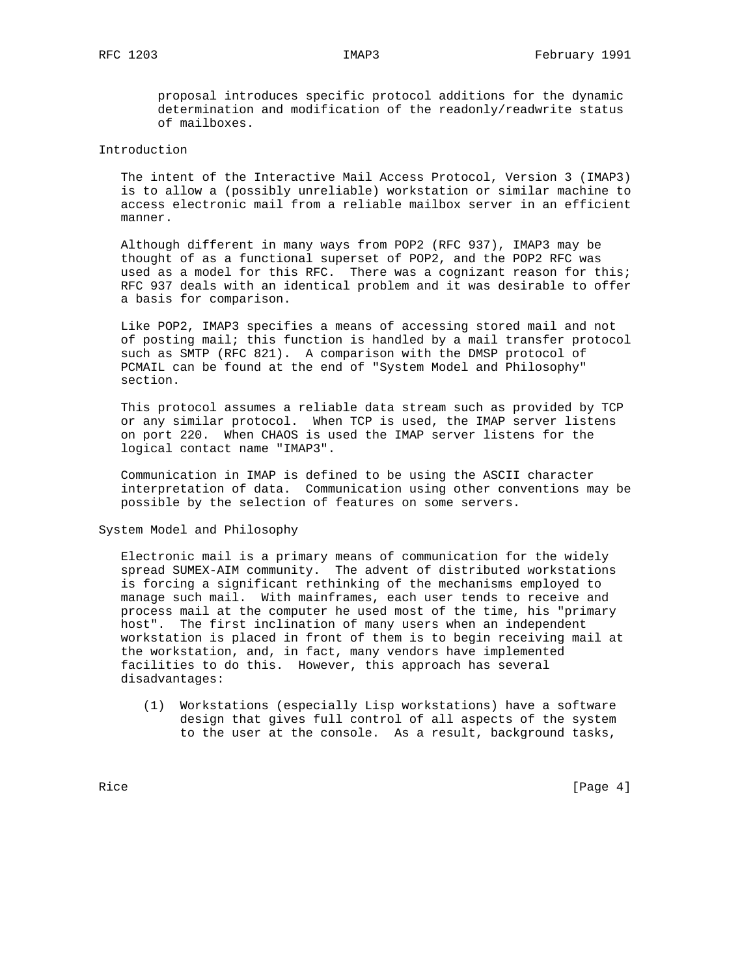proposal introduces specific protocol additions for the dynamic determination and modification of the readonly/readwrite status of mailboxes.

# Introduction

 The intent of the Interactive Mail Access Protocol, Version 3 (IMAP3) is to allow a (possibly unreliable) workstation or similar machine to access electronic mail from a reliable mailbox server in an efficient manner.

 Although different in many ways from POP2 (RFC 937), IMAP3 may be thought of as a functional superset of POP2, and the POP2 RFC was used as a model for this RFC. There was a cognizant reason for this; RFC 937 deals with an identical problem and it was desirable to offer a basis for comparison.

 Like POP2, IMAP3 specifies a means of accessing stored mail and not of posting mail; this function is handled by a mail transfer protocol such as SMTP (RFC 821). A comparison with the DMSP protocol of PCMAIL can be found at the end of "System Model and Philosophy" section.

 This protocol assumes a reliable data stream such as provided by TCP or any similar protocol. When TCP is used, the IMAP server listens on port 220. When CHAOS is used the IMAP server listens for the logical contact name "IMAP3".

 Communication in IMAP is defined to be using the ASCII character interpretation of data. Communication using other conventions may be possible by the selection of features on some servers.

System Model and Philosophy

 Electronic mail is a primary means of communication for the widely spread SUMEX-AIM community. The advent of distributed workstations is forcing a significant rethinking of the mechanisms employed to manage such mail. With mainframes, each user tends to receive and process mail at the computer he used most of the time, his "primary host". The first inclination of many users when an independent workstation is placed in front of them is to begin receiving mail at the workstation, and, in fact, many vendors have implemented facilities to do this. However, this approach has several disadvantages:

 (1) Workstations (especially Lisp workstations) have a software design that gives full control of all aspects of the system to the user at the console. As a result, background tasks,

Rice [Page 4]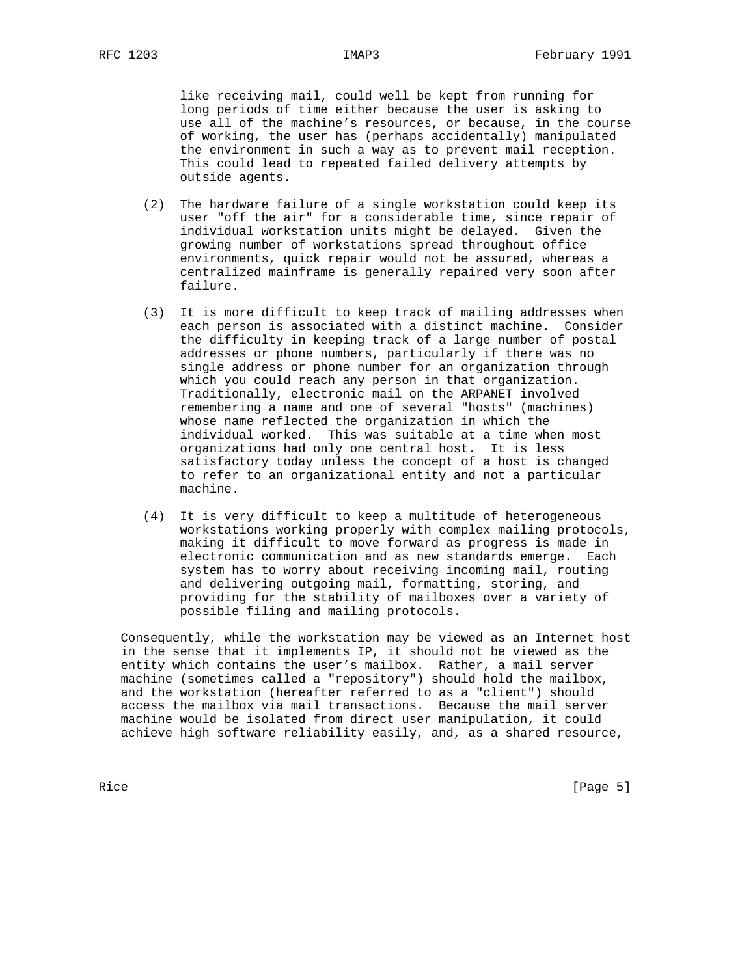like receiving mail, could well be kept from running for long periods of time either because the user is asking to use all of the machine's resources, or because, in the course of working, the user has (perhaps accidentally) manipulated the environment in such a way as to prevent mail reception. This could lead to repeated failed delivery attempts by outside agents.

- (2) The hardware failure of a single workstation could keep its user "off the air" for a considerable time, since repair of individual workstation units might be delayed. Given the growing number of workstations spread throughout office environments, quick repair would not be assured, whereas a centralized mainframe is generally repaired very soon after failure.
- (3) It is more difficult to keep track of mailing addresses when each person is associated with a distinct machine. Consider the difficulty in keeping track of a large number of postal addresses or phone numbers, particularly if there was no single address or phone number for an organization through which you could reach any person in that organization. Traditionally, electronic mail on the ARPANET involved remembering a name and one of several "hosts" (machines) whose name reflected the organization in which the individual worked. This was suitable at a time when most organizations had only one central host. It is less satisfactory today unless the concept of a host is changed to refer to an organizational entity and not a particular machine.
- (4) It is very difficult to keep a multitude of heterogeneous workstations working properly with complex mailing protocols, making it difficult to move forward as progress is made in electronic communication and as new standards emerge. Each system has to worry about receiving incoming mail, routing and delivering outgoing mail, formatting, storing, and providing for the stability of mailboxes over a variety of possible filing and mailing protocols.

 Consequently, while the workstation may be viewed as an Internet host in the sense that it implements IP, it should not be viewed as the entity which contains the user's mailbox. Rather, a mail server machine (sometimes called a "repository") should hold the mailbox, and the workstation (hereafter referred to as a "client") should access the mailbox via mail transactions. Because the mail server machine would be isolated from direct user manipulation, it could achieve high software reliability easily, and, as a shared resource,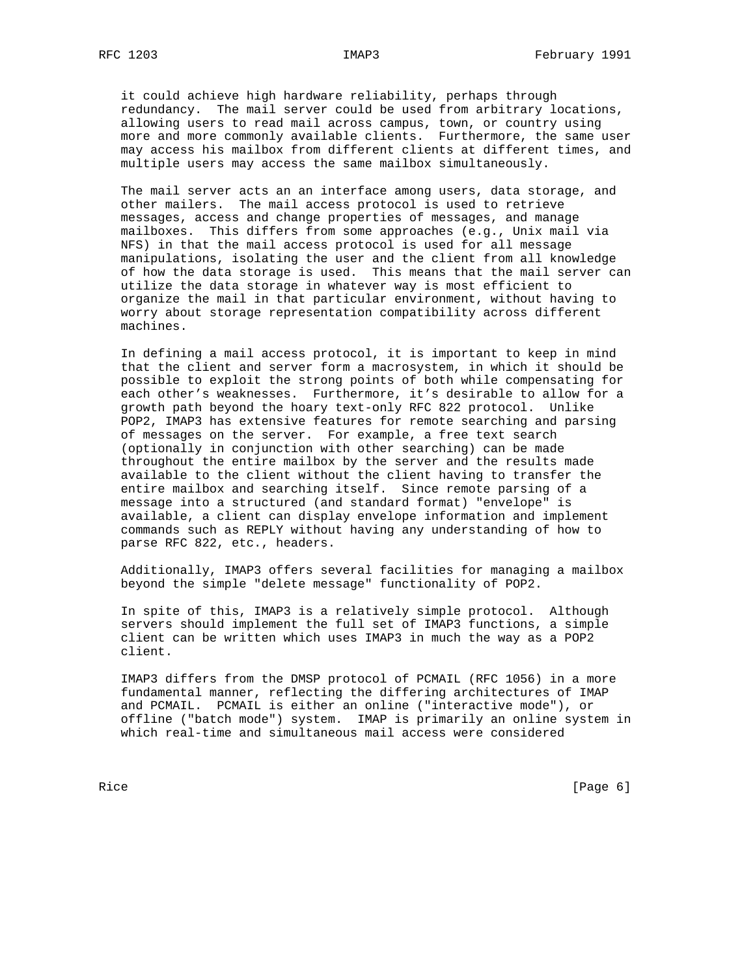it could achieve high hardware reliability, perhaps through redundancy. The mail server could be used from arbitrary locations, allowing users to read mail across campus, town, or country using more and more commonly available clients. Furthermore, the same user may access his mailbox from different clients at different times, and multiple users may access the same mailbox simultaneously.

 The mail server acts an an interface among users, data storage, and other mailers. The mail access protocol is used to retrieve messages, access and change properties of messages, and manage mailboxes. This differs from some approaches (e.g., Unix mail via NFS) in that the mail access protocol is used for all message manipulations, isolating the user and the client from all knowledge of how the data storage is used. This means that the mail server can utilize the data storage in whatever way is most efficient to organize the mail in that particular environment, without having to worry about storage representation compatibility across different machines.

 In defining a mail access protocol, it is important to keep in mind that the client and server form a macrosystem, in which it should be possible to exploit the strong points of both while compensating for each other's weaknesses. Furthermore, it's desirable to allow for a growth path beyond the hoary text-only RFC 822 protocol. Unlike POP2, IMAP3 has extensive features for remote searching and parsing of messages on the server. For example, a free text search (optionally in conjunction with other searching) can be made throughout the entire mailbox by the server and the results made available to the client without the client having to transfer the entire mailbox and searching itself. Since remote parsing of a message into a structured (and standard format) "envelope" is available, a client can display envelope information and implement commands such as REPLY without having any understanding of how to parse RFC 822, etc., headers.

 Additionally, IMAP3 offers several facilities for managing a mailbox beyond the simple "delete message" functionality of POP2.

 In spite of this, IMAP3 is a relatively simple protocol. Although servers should implement the full set of IMAP3 functions, a simple client can be written which uses IMAP3 in much the way as a POP2 client.

 IMAP3 differs from the DMSP protocol of PCMAIL (RFC 1056) in a more fundamental manner, reflecting the differing architectures of IMAP and PCMAIL. PCMAIL is either an online ("interactive mode"), or offline ("batch mode") system. IMAP is primarily an online system in which real-time and simultaneous mail access were considered

Rice **Exercise Exercise Exercise Exercise Exercise Exercise Exercise Exercise Exercise Exercise Exercise Exercise**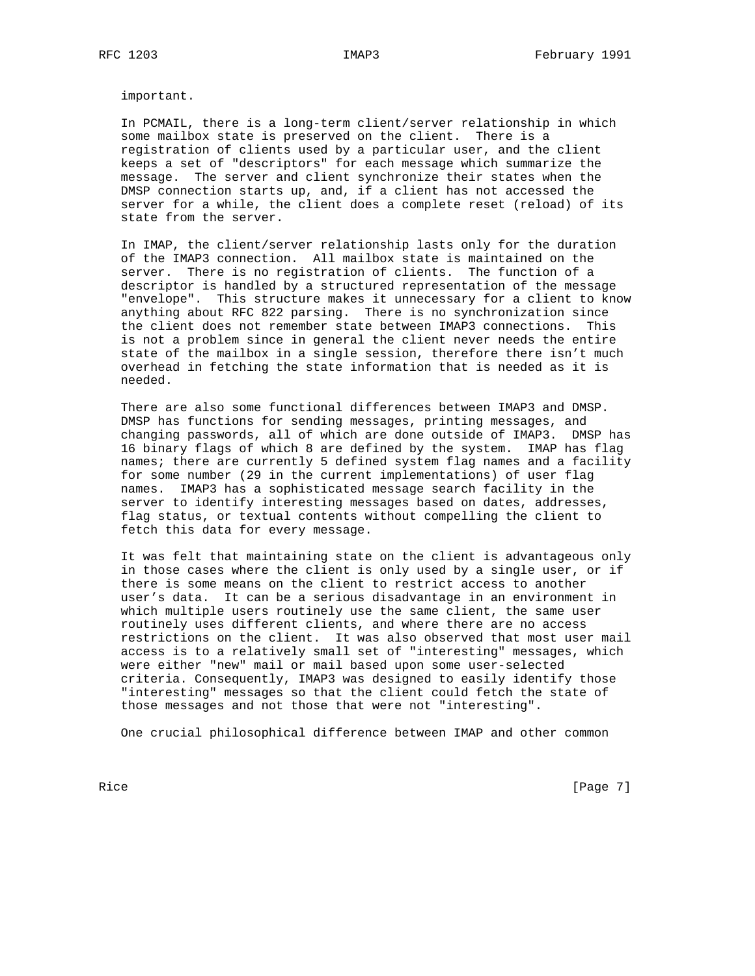important.

 In PCMAIL, there is a long-term client/server relationship in which some mailbox state is preserved on the client. There is a registration of clients used by a particular user, and the client keeps a set of "descriptors" for each message which summarize the message. The server and client synchronize their states when the DMSP connection starts up, and, if a client has not accessed the server for a while, the client does a complete reset (reload) of its state from the server.

 In IMAP, the client/server relationship lasts only for the duration of the IMAP3 connection. All mailbox state is maintained on the server. There is no registration of clients. The function of a descriptor is handled by a structured representation of the message "envelope". This structure makes it unnecessary for a client to know anything about RFC 822 parsing. There is no synchronization since the client does not remember state between IMAP3 connections. This is not a problem since in general the client never needs the entire state of the mailbox in a single session, therefore there isn't much overhead in fetching the state information that is needed as it is needed.

 There are also some functional differences between IMAP3 and DMSP. DMSP has functions for sending messages, printing messages, and changing passwords, all of which are done outside of IMAP3. DMSP has 16 binary flags of which 8 are defined by the system. IMAP has flag names; there are currently 5 defined system flag names and a facility for some number (29 in the current implementations) of user flag names. IMAP3 has a sophisticated message search facility in the server to identify interesting messages based on dates, addresses, flag status, or textual contents without compelling the client to fetch this data for every message.

 It was felt that maintaining state on the client is advantageous only in those cases where the client is only used by a single user, or if there is some means on the client to restrict access to another user's data. It can be a serious disadvantage in an environment in which multiple users routinely use the same client, the same user routinely uses different clients, and where there are no access restrictions on the client. It was also observed that most user mail access is to a relatively small set of "interesting" messages, which were either "new" mail or mail based upon some user-selected criteria. Consequently, IMAP3 was designed to easily identify those "interesting" messages so that the client could fetch the state of those messages and not those that were not "interesting".

One crucial philosophical difference between IMAP and other common

Rice [Page 7]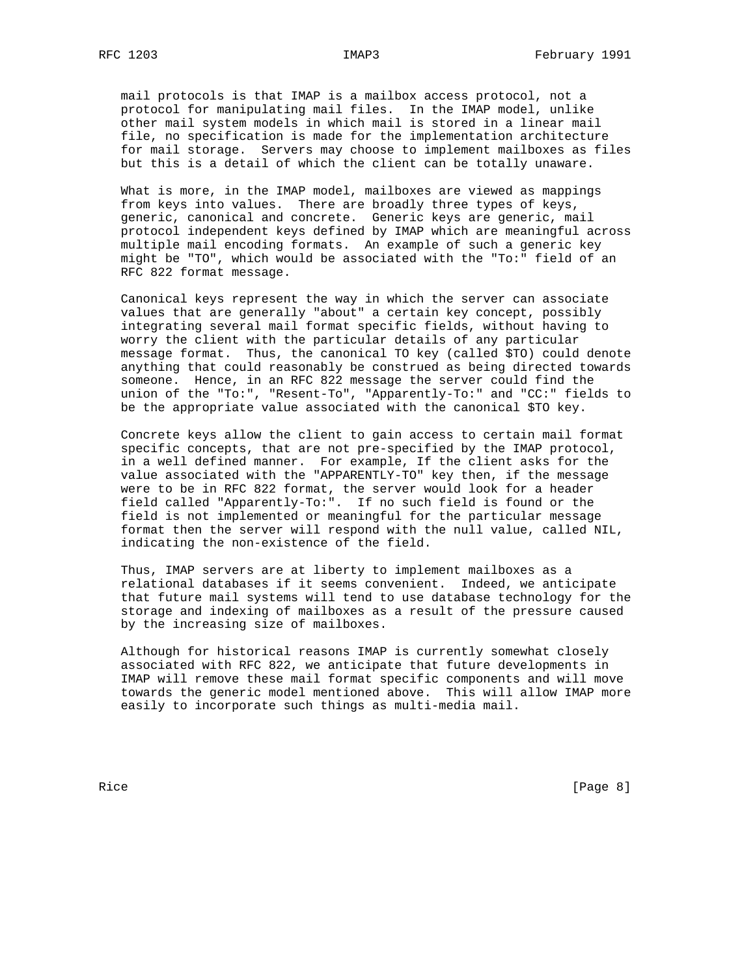mail protocols is that IMAP is a mailbox access protocol, not a protocol for manipulating mail files. In the IMAP model, unlike other mail system models in which mail is stored in a linear mail file, no specification is made for the implementation architecture for mail storage. Servers may choose to implement mailboxes as files but this is a detail of which the client can be totally unaware.

 What is more, in the IMAP model, mailboxes are viewed as mappings from keys into values. There are broadly three types of keys, generic, canonical and concrete. Generic keys are generic, mail protocol independent keys defined by IMAP which are meaningful across multiple mail encoding formats. An example of such a generic key might be "TO", which would be associated with the "To:" field of an RFC 822 format message.

 Canonical keys represent the way in which the server can associate values that are generally "about" a certain key concept, possibly integrating several mail format specific fields, without having to worry the client with the particular details of any particular message format. Thus, the canonical TO key (called \$TO) could denote anything that could reasonably be construed as being directed towards someone. Hence, in an RFC 822 message the server could find the union of the "To:", "Resent-To", "Apparently-To:" and "CC:" fields to be the appropriate value associated with the canonical \$TO key.

 Concrete keys allow the client to gain access to certain mail format specific concepts, that are not pre-specified by the IMAP protocol, in a well defined manner. For example, If the client asks for the value associated with the "APPARENTLY-TO" key then, if the message were to be in RFC 822 format, the server would look for a header field called "Apparently-To:". If no such field is found or the field is not implemented or meaningful for the particular message format then the server will respond with the null value, called NIL, indicating the non-existence of the field.

 Thus, IMAP servers are at liberty to implement mailboxes as a relational databases if it seems convenient. Indeed, we anticipate that future mail systems will tend to use database technology for the storage and indexing of mailboxes as a result of the pressure caused by the increasing size of mailboxes.

 Although for historical reasons IMAP is currently somewhat closely associated with RFC 822, we anticipate that future developments in IMAP will remove these mail format specific components and will move towards the generic model mentioned above. This will allow IMAP more easily to incorporate such things as multi-media mail.

Rice [Page 8]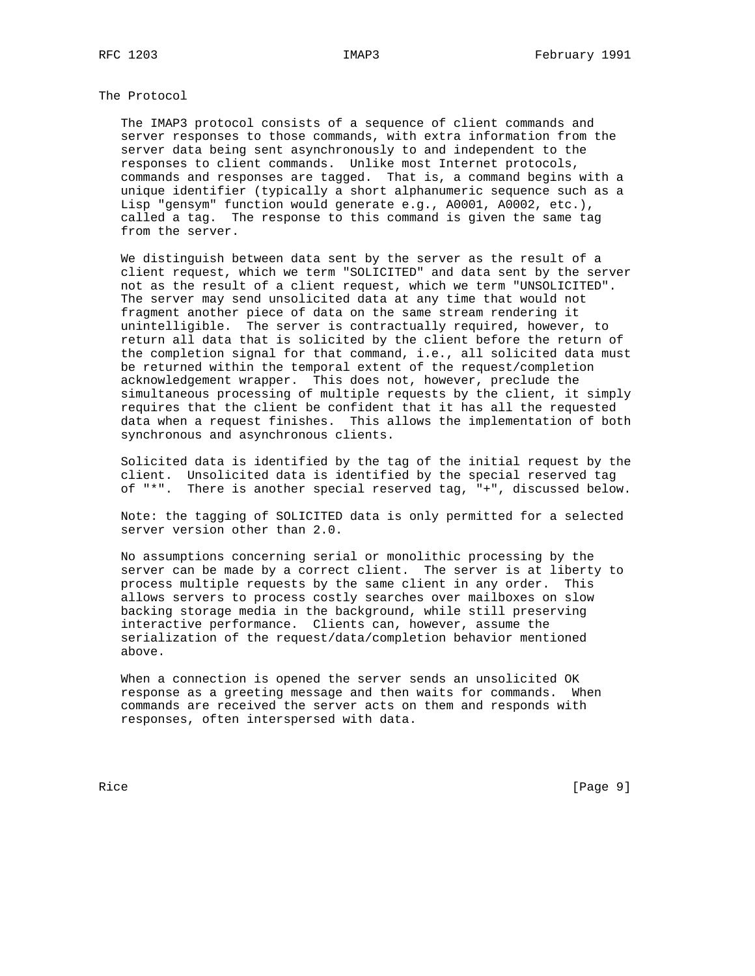# The Protocol

 The IMAP3 protocol consists of a sequence of client commands and server responses to those commands, with extra information from the server data being sent asynchronously to and independent to the responses to client commands. Unlike most Internet protocols, commands and responses are tagged. That is, a command begins with a unique identifier (typically a short alphanumeric sequence such as a Lisp "gensym" function would generate e.g., A0001, A0002, etc.), called a tag. The response to this command is given the same tag from the server.

 We distinguish between data sent by the server as the result of a client request, which we term "SOLICITED" and data sent by the server not as the result of a client request, which we term "UNSOLICITED". The server may send unsolicited data at any time that would not fragment another piece of data on the same stream rendering it unintelligible. The server is contractually required, however, to return all data that is solicited by the client before the return of the completion signal for that command, i.e., all solicited data must be returned within the temporal extent of the request/completion acknowledgement wrapper. This does not, however, preclude the simultaneous processing of multiple requests by the client, it simply requires that the client be confident that it has all the requested data when a request finishes. This allows the implementation of both synchronous and asynchronous clients.

 Solicited data is identified by the tag of the initial request by the client. Unsolicited data is identified by the special reserved tag of "\*". There is another special reserved tag, "+", discussed below.

 Note: the tagging of SOLICITED data is only permitted for a selected server version other than 2.0.

 No assumptions concerning serial or monolithic processing by the server can be made by a correct client. The server is at liberty to process multiple requests by the same client in any order. This allows servers to process costly searches over mailboxes on slow backing storage media in the background, while still preserving interactive performance. Clients can, however, assume the serialization of the request/data/completion behavior mentioned above.

 When a connection is opened the server sends an unsolicited OK response as a greeting message and then waits for commands. When commands are received the server acts on them and responds with responses, often interspersed with data.

Rice [Page 9]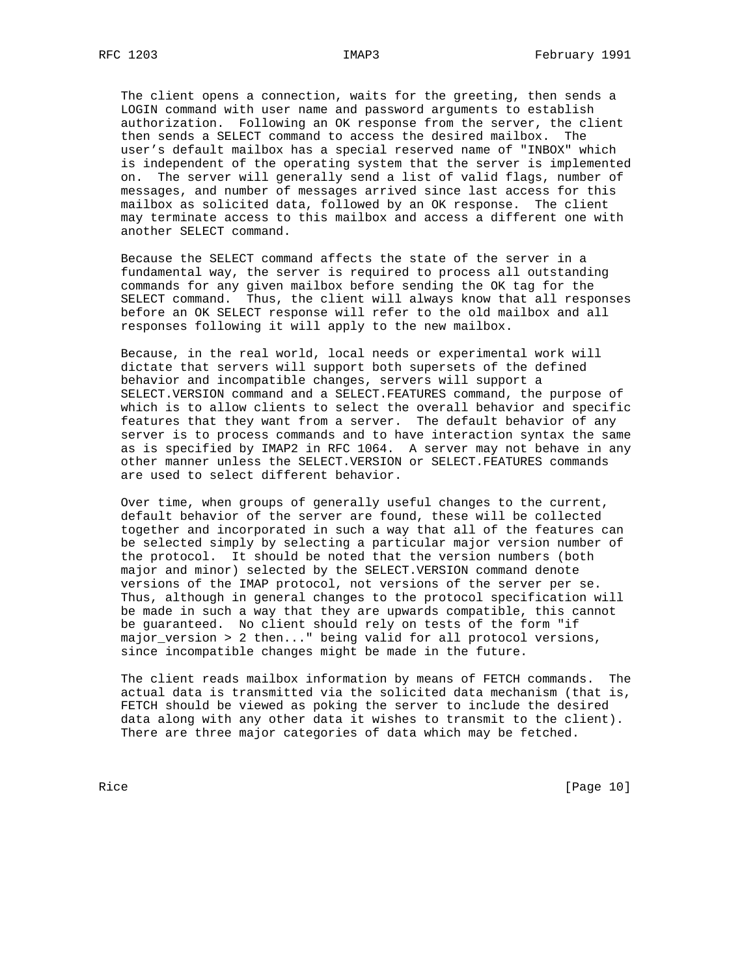The client opens a connection, waits for the greeting, then sends a LOGIN command with user name and password arguments to establish authorization. Following an OK response from the server, the client then sends a SELECT command to access the desired mailbox. The user's default mailbox has a special reserved name of "INBOX" which is independent of the operating system that the server is implemented on. The server will generally send a list of valid flags, number of messages, and number of messages arrived since last access for this mailbox as solicited data, followed by an OK response. The client may terminate access to this mailbox and access a different one with another SELECT command.

 Because the SELECT command affects the state of the server in a fundamental way, the server is required to process all outstanding commands for any given mailbox before sending the OK tag for the SELECT command. Thus, the client will always know that all responses before an OK SELECT response will refer to the old mailbox and all responses following it will apply to the new mailbox.

 Because, in the real world, local needs or experimental work will dictate that servers will support both supersets of the defined behavior and incompatible changes, servers will support a SELECT.VERSION command and a SELECT.FEATURES command, the purpose of which is to allow clients to select the overall behavior and specific features that they want from a server. The default behavior of any server is to process commands and to have interaction syntax the same as is specified by IMAP2 in RFC 1064. A server may not behave in any other manner unless the SELECT.VERSION or SELECT.FEATURES commands are used to select different behavior.

 Over time, when groups of generally useful changes to the current, default behavior of the server are found, these will be collected together and incorporated in such a way that all of the features can be selected simply by selecting a particular major version number of the protocol. It should be noted that the version numbers (both major and minor) selected by the SELECT.VERSION command denote versions of the IMAP protocol, not versions of the server per se. Thus, although in general changes to the protocol specification will be made in such a way that they are upwards compatible, this cannot be guaranteed. No client should rely on tests of the form "if major\_version > 2 then..." being valid for all protocol versions, since incompatible changes might be made in the future.

 The client reads mailbox information by means of FETCH commands. The actual data is transmitted via the solicited data mechanism (that is, FETCH should be viewed as poking the server to include the desired data along with any other data it wishes to transmit to the client). There are three major categories of data which may be fetched.

Rice [Page 10]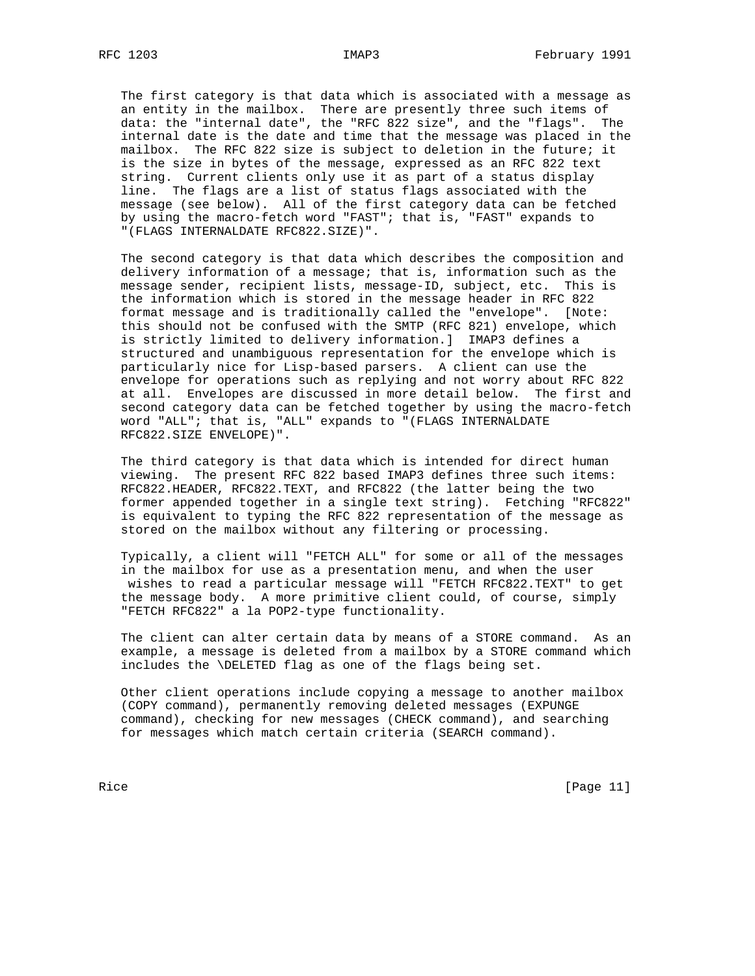The first category is that data which is associated with a message as an entity in the mailbox. There are presently three such items of data: the "internal date", the "RFC 822 size", and the "flags". The internal date is the date and time that the message was placed in the mailbox. The RFC 822 size is subject to deletion in the future; it is the size in bytes of the message, expressed as an RFC 822 text string. Current clients only use it as part of a status display line. The flags are a list of status flags associated with the message (see below). All of the first category data can be fetched by using the macro-fetch word "FAST"; that is, "FAST" expands to "(FLAGS INTERNALDATE RFC822.SIZE)".

 The second category is that data which describes the composition and delivery information of a message; that is, information such as the message sender, recipient lists, message-ID, subject, etc. This is the information which is stored in the message header in RFC 822 format message and is traditionally called the "envelope". [Note: this should not be confused with the SMTP (RFC 821) envelope, which is strictly limited to delivery information.] IMAP3 defines a structured and unambiguous representation for the envelope which is particularly nice for Lisp-based parsers. A client can use the envelope for operations such as replying and not worry about RFC 822 at all. Envelopes are discussed in more detail below. The first and second category data can be fetched together by using the macro-fetch word "ALL"; that is, "ALL" expands to "(FLAGS INTERNALDATE RFC822.SIZE ENVELOPE)".

 The third category is that data which is intended for direct human viewing. The present RFC 822 based IMAP3 defines three such items: RFC822.HEADER, RFC822.TEXT, and RFC822 (the latter being the two former appended together in a single text string). Fetching "RFC822" is equivalent to typing the RFC 822 representation of the message as stored on the mailbox without any filtering or processing.

 Typically, a client will "FETCH ALL" for some or all of the messages in the mailbox for use as a presentation menu, and when the user wishes to read a particular message will "FETCH RFC822.TEXT" to get the message body. A more primitive client could, of course, simply "FETCH RFC822" a la POP2-type functionality.

 The client can alter certain data by means of a STORE command. As an example, a message is deleted from a mailbox by a STORE command which includes the \DELETED flag as one of the flags being set.

 Other client operations include copying a message to another mailbox (COPY command), permanently removing deleted messages (EXPUNGE command), checking for new messages (CHECK command), and searching for messages which match certain criteria (SEARCH command).

Rice [Page 11]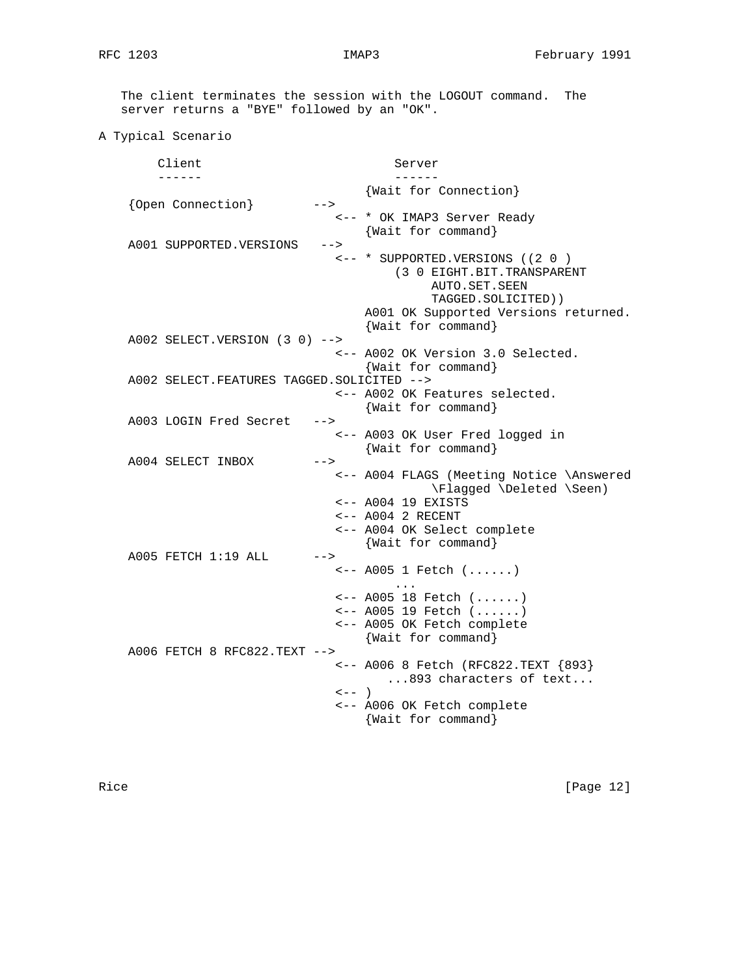The client terminates the session with the LOGOUT command. The server returns a "BYE" followed by an "OK".

```
A Typical Scenario
```
Client Server ------ ------ {Wait for Connection} {Open Connection} --> <-- \* OK IMAP3 Server Ready {Wait for command} A001 SUPPORTED.VERSIONS --> <-- \* SUPPORTED.VERSIONS ((2 0 ) (3 0 EIGHT.BIT.TRANSPARENT AUTO.SET.SEEN TAGGED.SOLICITED)) A001 OK Supported Versions returned. {Wait for command} A002 SELECT.VERSION (3 0) --> <-- A002 OK Version 3.0 Selected. {Wait for command} A002 SELECT.FEATURES TAGGED.SOLICITED --> <-- A002 OK Features selected. {Wait for command} A003 LOGIN Fred Secret --> <-- A003 OK User Fred logged in {Wait for command} A004 SELECT INBOX --> <-- A004 FLAGS (Meeting Notice \Answered \Flagged \Deleted \Seen) <-- A004 19 EXISTS <-- A004 2 RECENT <-- A004 OK Select complete {Wait for command} A005 FETCH 1:19 ALL --> <-- A005 1 Fetch (......) ... <-- A005 18 Fetch (......) <-- A005 19 Fetch (......) <-- A005 OK Fetch complete {Wait for command} A006 FETCH 8 RFC822.TEXT --> <-- A006 8 Fetch (RFC822.TEXT {893} ...893 characters of text...  $\leftarrow -$  ) <-- A006 OK Fetch complete {Wait for command}

Rice [Page 12]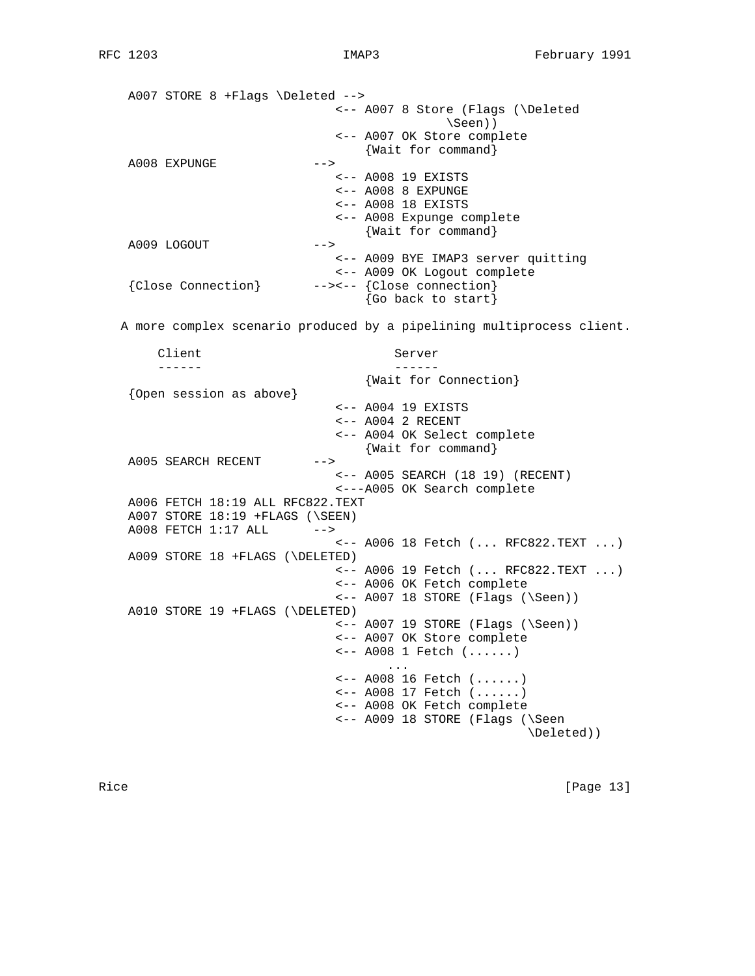A007 STORE 8 +Flags \Deleted --> <-- A007 8 Store (Flags (\Deleted \Seen)) <-- A007 OK Store complete {Wait for command}  $A008$  EXPUNGE  $---&$  <-- A008 19 EXISTS <-- A008 8 EXPUNGE <-- A008 18 EXISTS <-- A008 Expunge complete {Wait for command} A009 LOGOUT --> <-- A009 BYE IMAP3 server quitting <-- A009 OK Logout complete {Close Connection} --><-- {Close connection} {Go back to start} A more complex scenario produced by a pipelining multiprocess client. Client Server ------ ------ {Wait for Connection} {Open session as above} <-- A004 19 EXISTS <-- A004 2 RECENT <-- A004 OK Select complete {Wait for command} A005 SEARCH RECENT --> <-- A005 SEARCH (18 19) (RECENT) <---A005 OK Search complete A006 FETCH 18:19 ALL RFC822.TEXT A007 STORE 18:19 +FLAGS (\SEEN) A008 FETCH 1:17 ALL --> <-- A006 18 Fetch (... RFC822.TEXT ...) A009 STORE 18 +FLAGS (\DELETED) <-- A006 19 Fetch (... RFC822.TEXT ...) <-- A006 OK Fetch complete  $\leftarrow$  A007 18 STORE (Flags (\Seen)) A010 STORE 19 +FLAGS (\DELETED) <-- A007 19 STORE (Flags (\Seen)) <-- A007 OK Store complete <-- A008 1 Fetch (......) ... <-- A008 16 Fetch (......) <-- A008 17 Fetch (......) <-- A008 OK Fetch complete <-- A009 18 STORE (Flags (\Seen \Deleted))

Rice [Page 13]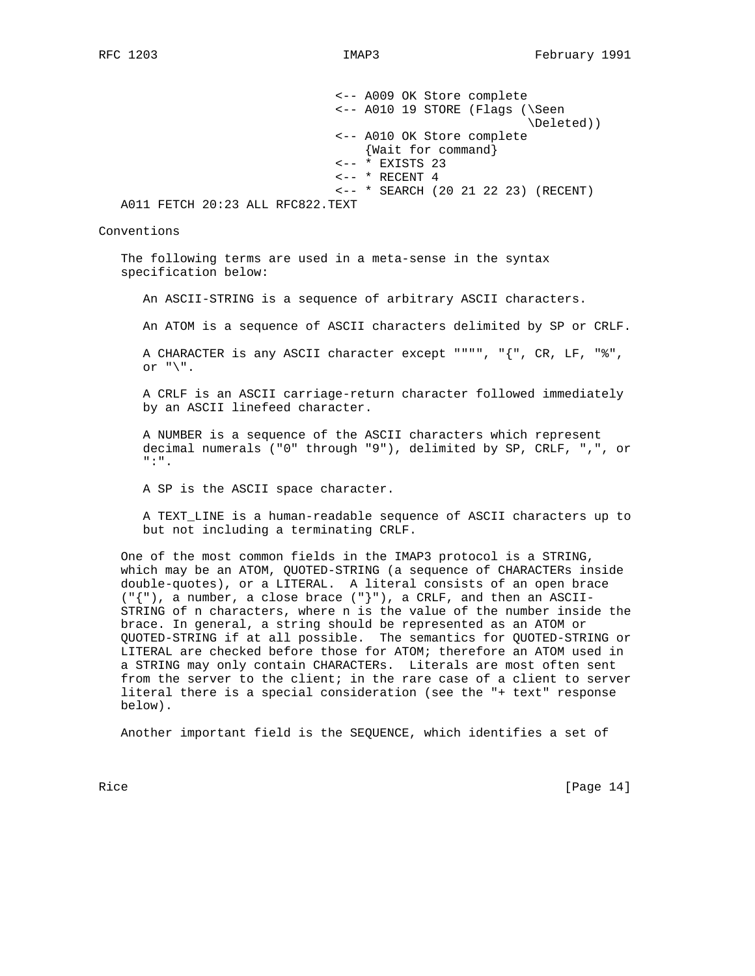<-- A009 OK Store complete <-- A010 19 STORE (Flags (\Seen \Deleted)) <-- A010 OK Store complete {Wait for command} <-- \* EXISTS 23  $\leftarrow -$  \* RECENT 4 <-- \* SEARCH (20 21 22 23) (RECENT) A011 FETCH 20:23 ALL RFC822.TEXT Conventions The following terms are used in a meta-sense in the syntax specification below:

An ASCII-STRING is a sequence of arbitrary ASCII characters.

An ATOM is a sequence of ASCII characters delimited by SP or CRLF.

 A CHARACTER is any ASCII character except """", "{", CR, LF, "%", or  $"\$ .

 A CRLF is an ASCII carriage-return character followed immediately by an ASCII linefeed character.

 A NUMBER is a sequence of the ASCII characters which represent decimal numerals ("0" through "9"), delimited by SP, CRLF, ",", or ":".

A SP is the ASCII space character.

 A TEXT\_LINE is a human-readable sequence of ASCII characters up to but not including a terminating CRLF.

 One of the most common fields in the IMAP3 protocol is a STRING, which may be an ATOM, QUOTED-STRING (a sequence of CHARACTERs inside double-quotes), or a LITERAL. A literal consists of an open brace  $(\lceil \{\nceil \})$ , a number, a close brace  $(\lceil \cdot \rceil)^n$ , a CRLF, and then an ASCII- STRING of n characters, where n is the value of the number inside the brace. In general, a string should be represented as an ATOM or QUOTED-STRING if at all possible. The semantics for QUOTED-STRING or LITERAL are checked before those for ATOM; therefore an ATOM used in a STRING may only contain CHARACTERs. Literals are most often sent from the server to the client; in the rare case of a client to server literal there is a special consideration (see the "+ text" response below).

Another important field is the SEQUENCE, which identifies a set of

Rice [Page 14]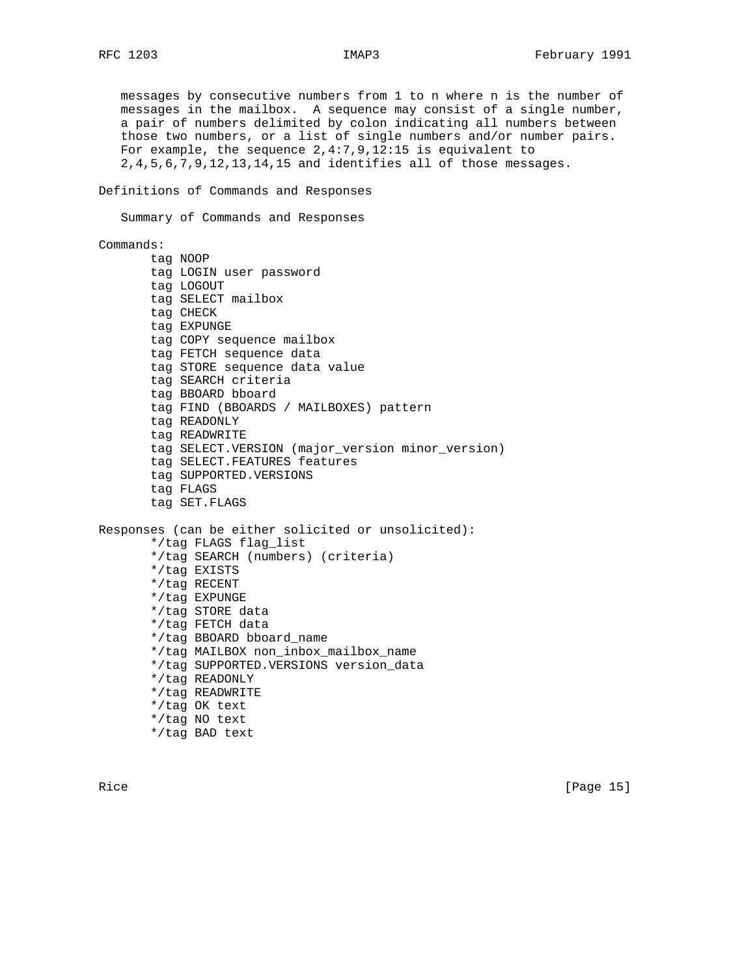messages by consecutive numbers from 1 to n where n is the number of messages in the mailbox. A sequence may consist of a single number, a pair of numbers delimited by colon indicating all numbers between those two numbers, or a list of single numbers and/or number pairs. For example, the sequence 2,4:7,9,12:15 is equivalent to 2,4,5,6,7,9,12,13,14,15 and identifies all of those messages.

Definitions of Commands and Responses

Summary of Commands and Responses

### Commands:

 tag NOOP tag LOGIN user password tag LOGOUT tag SELECT mailbox tag CHECK tag EXPUNGE tag COPY sequence mailbox tag FETCH sequence data tag STORE sequence data value tag SEARCH criteria tag BBOARD bboard tag FIND (BBOARDS / MAILBOXES) pattern tag READONLY tag READWRITE tag SELECT.VERSION (major\_version minor\_version) tag SELECT.FEATURES features tag SUPPORTED.VERSIONS tag FLAGS tag SET.FLAGS

Responses (can be either solicited or unsolicited): \*/tag FLAGS flag\_list \*/tag SEARCH (numbers) (criteria) \*/tag EXISTS \*/tag RECENT \*/tag EXPUNGE \*/tag STORE data \*/tag FETCH data \*/tag BBOARD bboard\_name \*/tag MAILBOX non\_inbox\_mailbox\_name \*/tag SUPPORTED.VERSIONS version\_data \*/tag READONLY \*/tag READWRITE \*/tag OK text \*/tag NO text \*/tag BAD text

Rice [Page 15]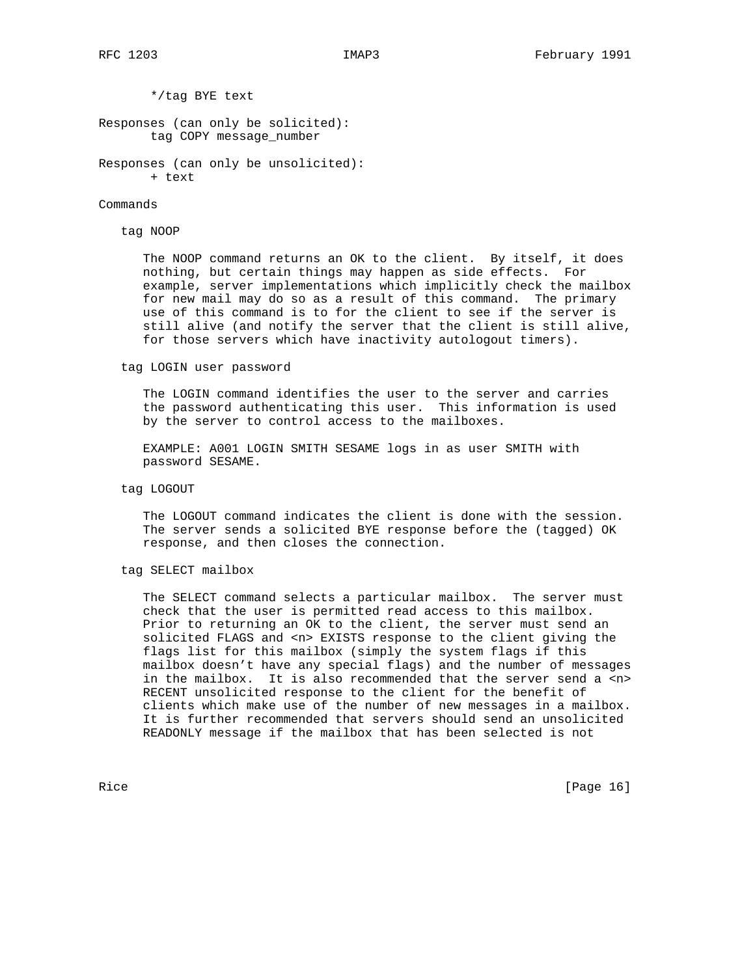\*/tag BYE text

Responses (can only be solicited): tag COPY message\_number

Responses (can only be unsolicited): + text

#### Commands

### tag NOOP

 The NOOP command returns an OK to the client. By itself, it does nothing, but certain things may happen as side effects. For example, server implementations which implicitly check the mailbox for new mail may do so as a result of this command. The primary use of this command is to for the client to see if the server is still alive (and notify the server that the client is still alive, for those servers which have inactivity autologout timers).

tag LOGIN user password

 The LOGIN command identifies the user to the server and carries the password authenticating this user. This information is used by the server to control access to the mailboxes.

 EXAMPLE: A001 LOGIN SMITH SESAME logs in as user SMITH with password SESAME.

### tag LOGOUT

 The LOGOUT command indicates the client is done with the session. The server sends a solicited BYE response before the (tagged) OK response, and then closes the connection.

## tag SELECT mailbox

 The SELECT command selects a particular mailbox. The server must check that the user is permitted read access to this mailbox. Prior to returning an OK to the client, the server must send an solicited FLAGS and <n> EXISTS response to the client giving the flags list for this mailbox (simply the system flags if this mailbox doesn't have any special flags) and the number of messages in the mailbox. It is also recommended that the server send a <n> RECENT unsolicited response to the client for the benefit of clients which make use of the number of new messages in a mailbox. It is further recommended that servers should send an unsolicited READONLY message if the mailbox that has been selected is not

Rice [Page 16]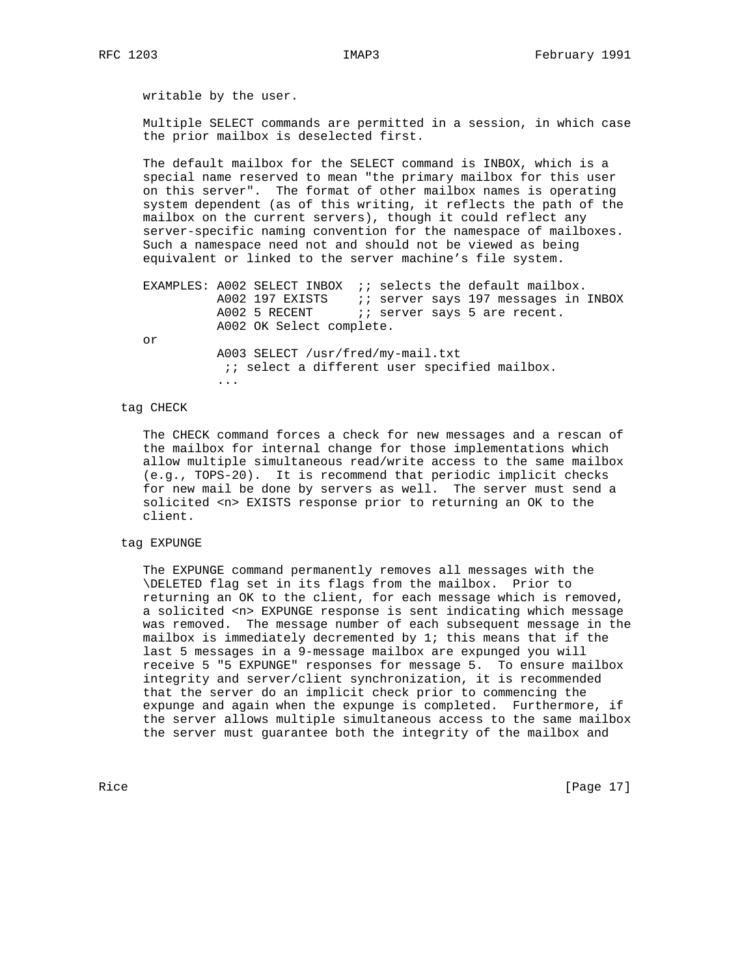writable by the user.

 Multiple SELECT commands are permitted in a session, in which case the prior mailbox is deselected first.

 The default mailbox for the SELECT command is INBOX, which is a special name reserved to mean "the primary mailbox for this user on this server". The format of other mailbox names is operating system dependent (as of this writing, it reflects the path of the mailbox on the current servers), though it could reflect any server-specific naming convention for the namespace of mailboxes. Such a namespace need not and should not be viewed as being equivalent or linked to the server machine's file system.

EXAMPLES: A002 SELECT INBOX : ; selects the default mailbox. A002 197 EXISTS (1) server says 197 messages in INBOX A002 5 RECENT i; server says 5 are recent. A002 OK Select complete.

or

 A003 SELECT /usr/fred/my-mail.txt : is select a different user specified mailbox. ...

# tag CHECK

 The CHECK command forces a check for new messages and a rescan of the mailbox for internal change for those implementations which allow multiple simultaneous read/write access to the same mailbox (e.g., TOPS-20). It is recommend that periodic implicit checks for new mail be done by servers as well. The server must send a solicited <n> EXISTS response prior to returning an OK to the client.

## tag EXPUNGE

 The EXPUNGE command permanently removes all messages with the \DELETED flag set in its flags from the mailbox. Prior to returning an OK to the client, for each message which is removed, a solicited <n> EXPUNGE response is sent indicating which message was removed. The message number of each subsequent message in the mailbox is immediately decremented by  $1$ ; this means that if the last 5 messages in a 9-message mailbox are expunged you will receive 5 "5 EXPUNGE" responses for message 5. To ensure mailbox integrity and server/client synchronization, it is recommended that the server do an implicit check prior to commencing the expunge and again when the expunge is completed. Furthermore, if the server allows multiple simultaneous access to the same mailbox the server must guarantee both the integrity of the mailbox and

Rice [Page 17]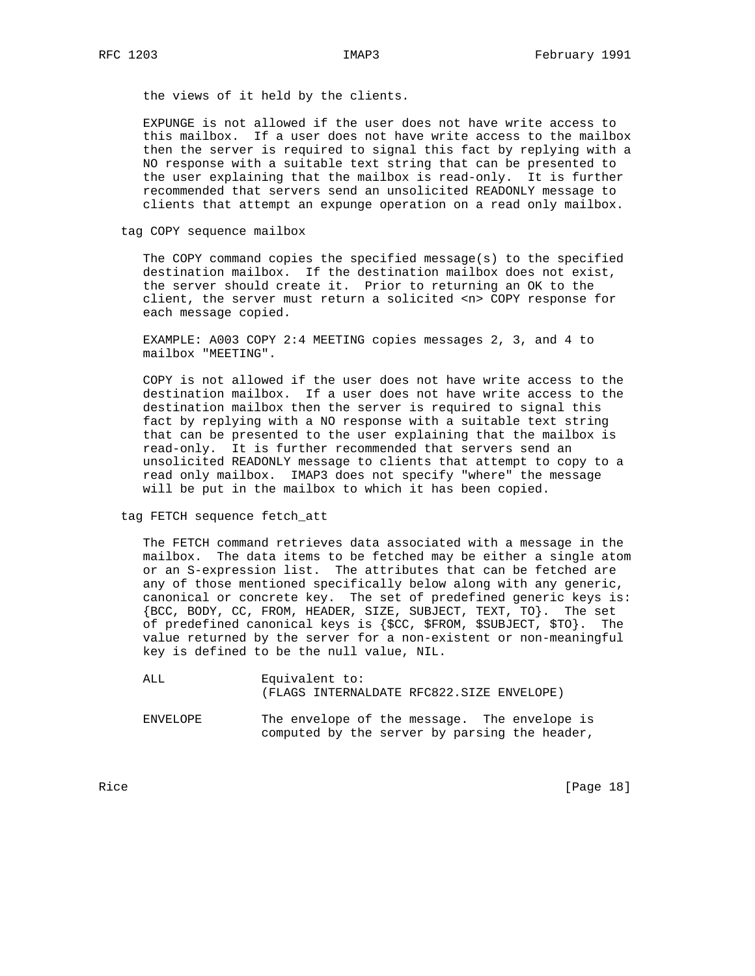the views of it held by the clients.

 EXPUNGE is not allowed if the user does not have write access to this mailbox. If a user does not have write access to the mailbox then the server is required to signal this fact by replying with a NO response with a suitable text string that can be presented to the user explaining that the mailbox is read-only. It is further recommended that servers send an unsolicited READONLY message to clients that attempt an expunge operation on a read only mailbox.

tag COPY sequence mailbox

 The COPY command copies the specified message(s) to the specified destination mailbox. If the destination mailbox does not exist, the server should create it. Prior to returning an OK to the client, the server must return a solicited <n> COPY response for each message copied.

 EXAMPLE: A003 COPY 2:4 MEETING copies messages 2, 3, and 4 to mailbox "MEETING".

 COPY is not allowed if the user does not have write access to the destination mailbox. If a user does not have write access to the destination mailbox then the server is required to signal this fact by replying with a NO response with a suitable text string that can be presented to the user explaining that the mailbox is read-only. It is further recommended that servers send an unsolicited READONLY message to clients that attempt to copy to a read only mailbox. IMAP3 does not specify "where" the message will be put in the mailbox to which it has been copied.

tag FETCH sequence fetch\_att

 The FETCH command retrieves data associated with a message in the mailbox. The data items to be fetched may be either a single atom or an S-expression list. The attributes that can be fetched are any of those mentioned specifically below along with any generic, canonical or concrete key. The set of predefined generic keys is: {BCC, BODY, CC, FROM, HEADER, SIZE, SUBJECT, TEXT, TO}. The set of predefined canonical keys is {\$CC, \$FROM, \$SUBJECT, \$TO}. The value returned by the server for a non-existent or non-meaningful key is defined to be the null value, NIL.

 ALL Equivalent to: (FLAGS INTERNALDATE RFC822.SIZE ENVELOPE)

 ENVELOPE The envelope of the message. The envelope is computed by the server by parsing the header,

Rice [Page 18]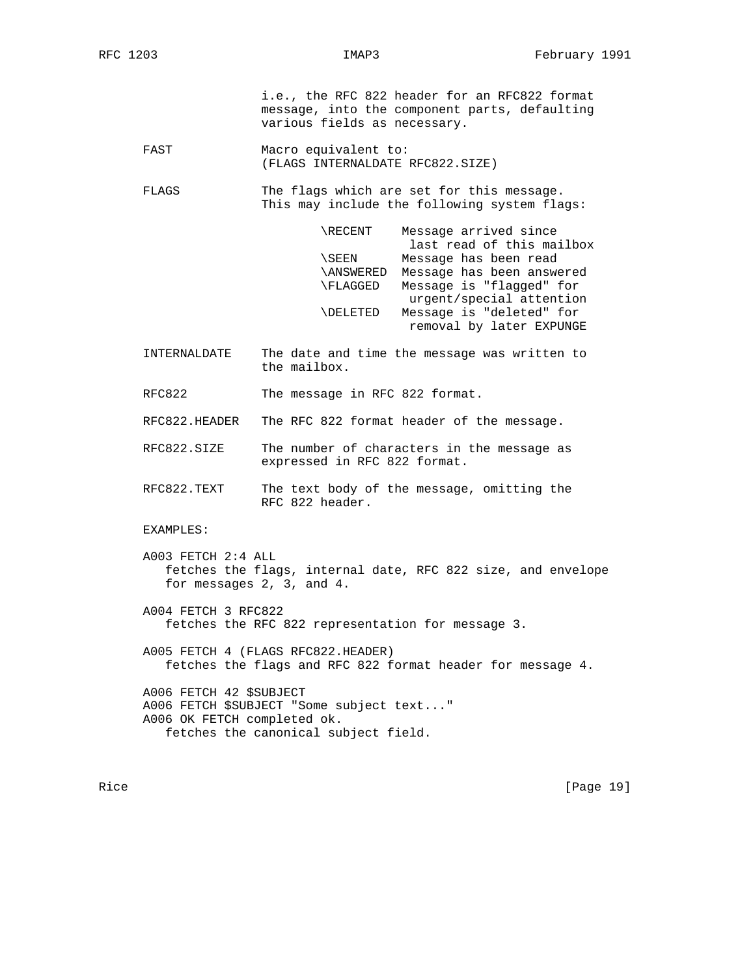i.e., the RFC 822 header for an RFC822 format message, into the component parts, defaulting various fields as necessary.

- FAST Macro equivalent to: (FLAGS INTERNALDATE RFC822.SIZE)
- FLAGS The flags which are set for this message. This may include the following system flags:

| \RECENT          | Message arrived since     |
|------------------|---------------------------|
|                  | last read of this mailbox |
| \SEEN            | Message has been read     |
| <b>\ANSWERED</b> | Message has been answered |
| \FLAGGED         | Message is "flagged" for  |
|                  | urgent/special attention  |
| \DELETED         | Message is "deleted" for  |
|                  | removal by later EXPUNGE  |

 INTERNALDATE The date and time the message was written to the mailbox.

RFC822 The message in RFC 822 format.

RFC822.HEADER The RFC 822 format header of the message.

- RFC822.SIZE The number of characters in the message as expressed in RFC 822 format.
- RFC822.TEXT The text body of the message, omitting the RFC 822 header.

EXAMPLES:

- A003 FETCH 2:4 ALL fetches the flags, internal date, RFC 822 size, and envelope for messages 2, 3, and 4.
- A004 FETCH 3 RFC822 fetches the RFC 822 representation for message 3.
- A005 FETCH 4 (FLAGS RFC822.HEADER) fetches the flags and RFC 822 format header for message 4.

 A006 FETCH 42 \$SUBJECT A006 FETCH \$SUBJECT "Some subject text..." A006 OK FETCH completed ok. fetches the canonical subject field.

Rice [Page 19]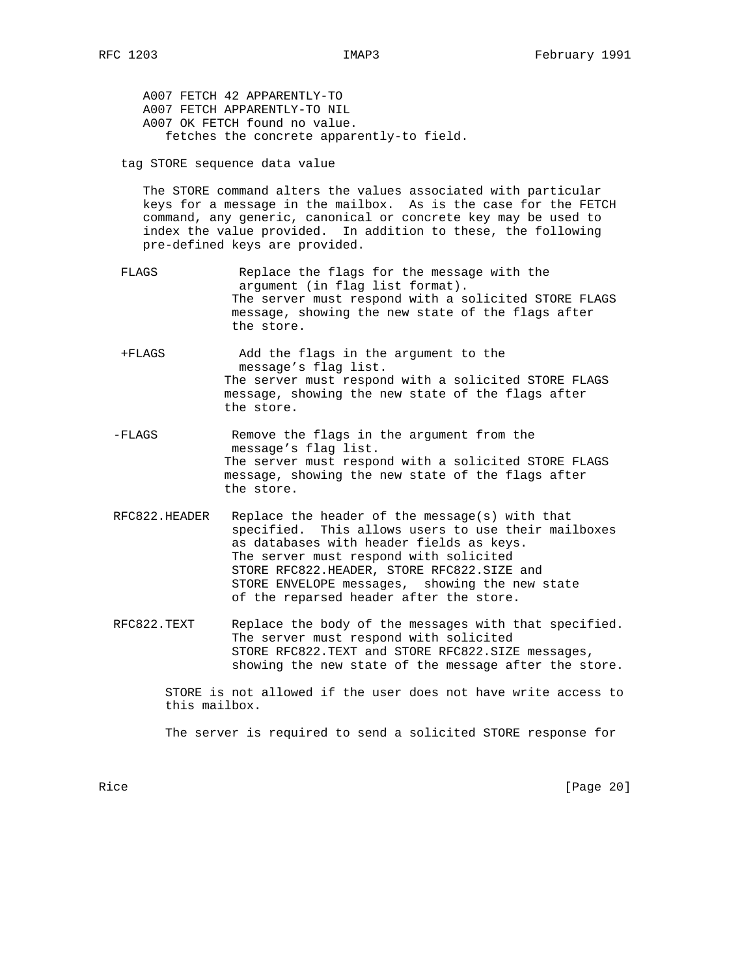A007 FETCH 42 APPARENTLY-TO A007 FETCH APPARENTLY-TO NIL A007 OK FETCH found no value. fetches the concrete apparently-to field.

tag STORE sequence data value

 The STORE command alters the values associated with particular keys for a message in the mailbox. As is the case for the FETCH command, any generic, canonical or concrete key may be used to index the value provided. In addition to these, the following pre-defined keys are provided.

- FLAGS Replace the flags for the message with the argument (in flag list format). The server must respond with a solicited STORE FLAGS message, showing the new state of the flags after the store.
- +FLAGS Add the flags in the argument to the message's flag list. The server must respond with a solicited STORE FLAGS message, showing the new state of the flags after the store.
- -FLAGS Remove the flags in the argument from the message's flag list. The server must respond with a solicited STORE FLAGS message, showing the new state of the flags after the store.
- RFC822.HEADER Replace the header of the message(s) with that specified. This allows users to use their mailboxes as databases with header fields as keys. The server must respond with solicited STORE RFC822.HEADER, STORE RFC822.SIZE and STORE ENVELOPE messages, showing the new state of the reparsed header after the store.
- RFC822.TEXT Replace the body of the messages with that specified. The server must respond with solicited STORE RFC822.TEXT and STORE RFC822.SIZE messages, showing the new state of the message after the store.

 STORE is not allowed if the user does not have write access to this mailbox.

The server is required to send a solicited STORE response for

Rice [Page 20]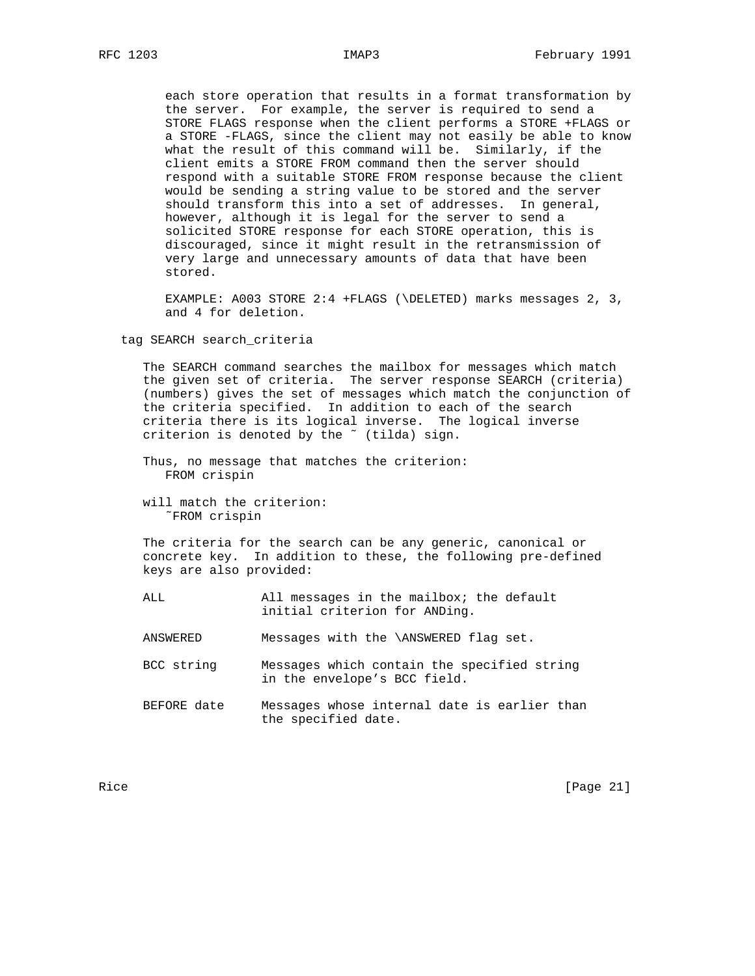each store operation that results in a format transformation by the server. For example, the server is required to send a STORE FLAGS response when the client performs a STORE +FLAGS or a STORE -FLAGS, since the client may not easily be able to know what the result of this command will be. Similarly, if the client emits a STORE FROM command then the server should respond with a suitable STORE FROM response because the client would be sending a string value to be stored and the server should transform this into a set of addresses. In general, however, although it is legal for the server to send a solicited STORE response for each STORE operation, this is discouraged, since it might result in the retransmission of very large and unnecessary amounts of data that have been stored.

 EXAMPLE: A003 STORE 2:4 +FLAGS (\DELETED) marks messages 2, 3, and 4 for deletion.

tag SEARCH search\_criteria

 The SEARCH command searches the mailbox for messages which match the given set of criteria. The server response SEARCH (criteria) (numbers) gives the set of messages which match the conjunction of the criteria specified. In addition to each of the search criteria there is its logical inverse. The logical inverse criterion is denoted by the ~ (tilda) sign.

- Thus, no message that matches the criterion: FROM crispin
- will match the criterion: ˜FROM crispin

 The criteria for the search can be any generic, canonical or concrete key. In addition to these, the following pre-defined keys are also provided:

- ALL All messages in the mailbox; the default initial criterion for ANDing.
- ANSWERED Messages with the \ANSWERED flag set.
- BCC string Messages which contain the specified string in the envelope's BCC field.
- BEFORE date Messages whose internal date is earlier than the specified date.

Rice [Page 21]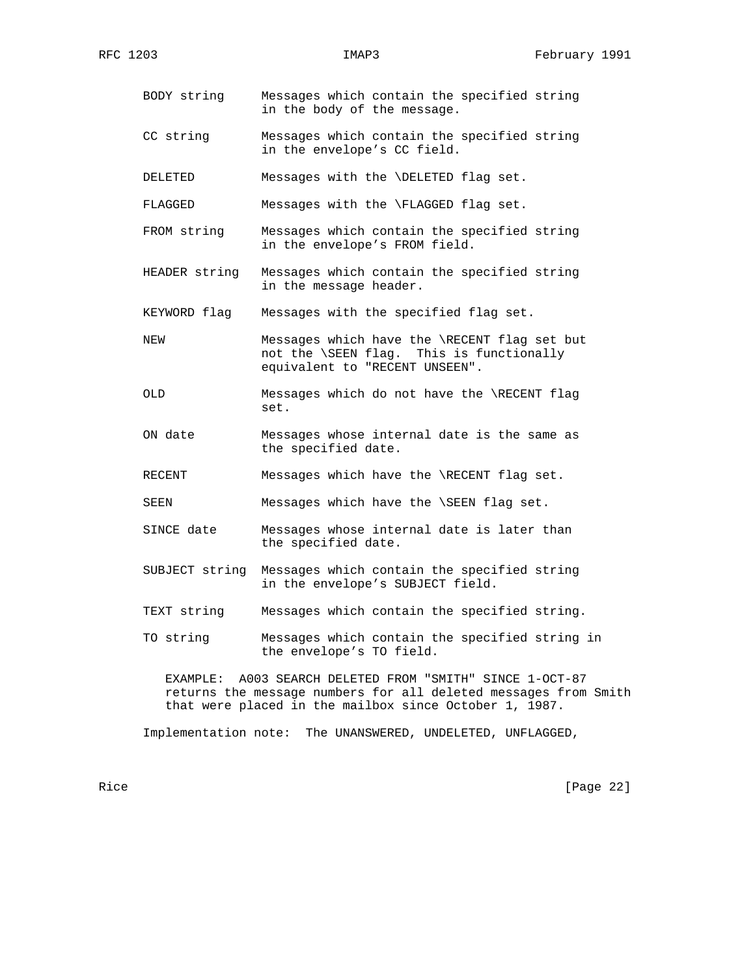- BODY string Messages which contain the specified string in the body of the message.
- CC string Messages which contain the specified string in the envelope's CC field.

DELETED Messages with the \DELETED flag set.

FLAGGED Messages with the \FLAGGED flag set.

- FROM string Messages which contain the specified string in the envelope's FROM field.
- HEADER string Messages which contain the specified string in the message header.

KEYWORD flag Messages with the specified flag set.

- NEW Messages which have the \RECENT flag set but not the \SEEN flag. This is functionally equivalent to "RECENT UNSEEN".
- OLD Messages which do not have the \RECENT flag set.
- ON date Messages whose internal date is the same as the specified date.
- RECENT Messages which have the \RECENT flag set.

SEEN Messages which have the \SEEN flag set.

- SINCE date Messages whose internal date is later than the specified date.
- SUBJECT string Messages which contain the specified string in the envelope's SUBJECT field.
- TEXT string Messages which contain the specified string.
- TO string Messages which contain the specified string in the envelope's TO field.

 EXAMPLE: A003 SEARCH DELETED FROM "SMITH" SINCE 1-OCT-87 returns the message numbers for all deleted messages from Smith that were placed in the mailbox since October 1, 1987.

Implementation note: The UNANSWERED, UNDELETED, UNFLAGGED,

Rice [Page 22]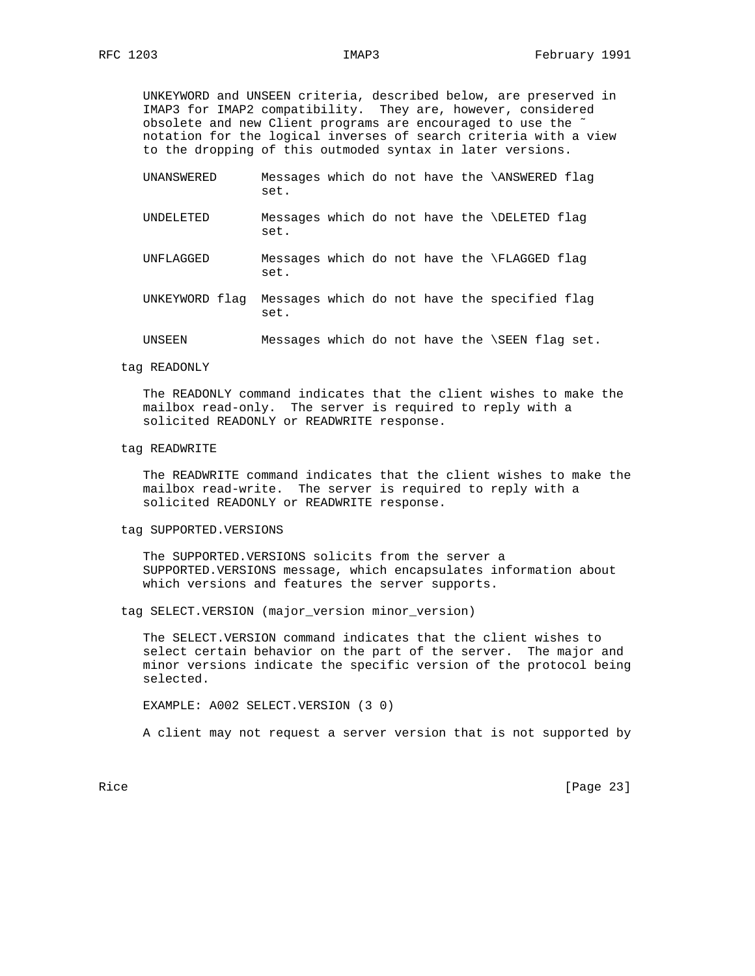UNKEYWORD and UNSEEN criteria, described below, are preserved in IMAP3 for IMAP2 compatibility. They are, however, considered obsolete and new Client programs are encouraged to use the ˜ notation for the logical inverses of search criteria with a view to the dropping of this outmoded syntax in later versions.

- UNANSWERED Messages which do not have the \ANSWERED flag set.
- UNDELETED Messages which do not have the \DELETED flag set.
- UNFLAGGED Messages which do not have the \FLAGGED flag set.
- UNKEYWORD flag Messages which do not have the specified flag set.
- UNSEEN Messages which do not have the \SEEN flag set.
- tag READONLY

 The READONLY command indicates that the client wishes to make the mailbox read-only. The server is required to reply with a solicited READONLY or READWRITE response.

tag READWRITE

 The READWRITE command indicates that the client wishes to make the mailbox read-write. The server is required to reply with a solicited READONLY or READWRITE response.

tag SUPPORTED.VERSIONS

 The SUPPORTED.VERSIONS solicits from the server a SUPPORTED.VERSIONS message, which encapsulates information about which versions and features the server supports.

tag SELECT.VERSION (major\_version minor\_version)

 The SELECT.VERSION command indicates that the client wishes to select certain behavior on the part of the server. The major and minor versions indicate the specific version of the protocol being selected.

EXAMPLE: A002 SELECT.VERSION (3 0)

A client may not request a server version that is not supported by

Rice [Page 23]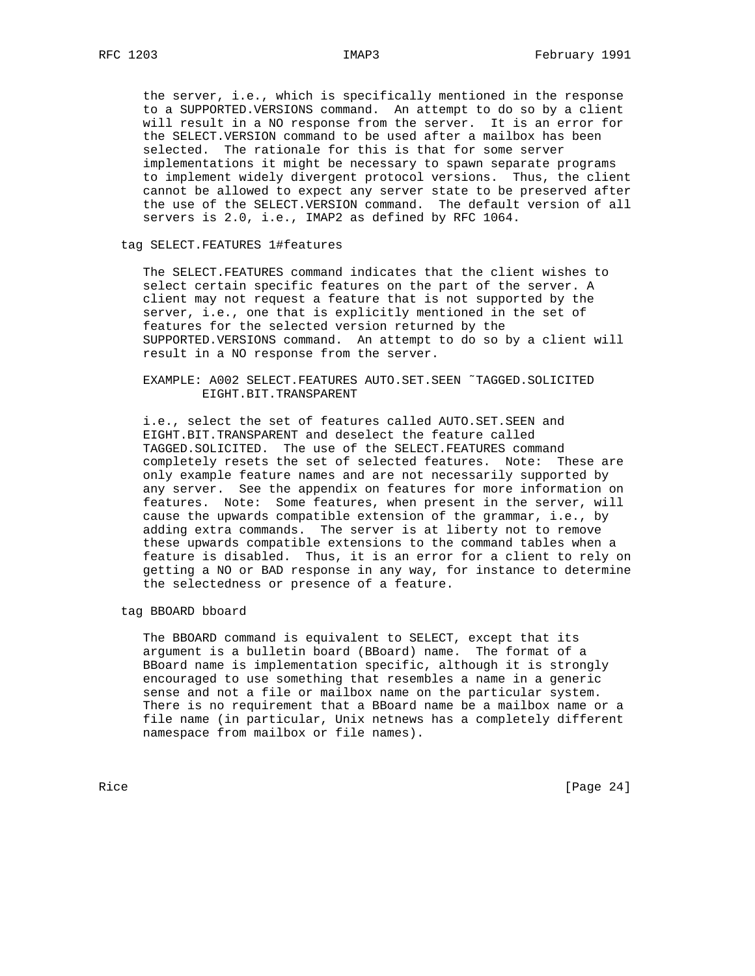the server, i.e., which is specifically mentioned in the response to a SUPPORTED.VERSIONS command. An attempt to do so by a client will result in a NO response from the server. It is an error for the SELECT.VERSION command to be used after a mailbox has been selected. The rationale for this is that for some server implementations it might be necessary to spawn separate programs to implement widely divergent protocol versions. Thus, the client cannot be allowed to expect any server state to be preserved after the use of the SELECT.VERSION command. The default version of all servers is 2.0, i.e., IMAP2 as defined by RFC 1064.

## tag SELECT.FEATURES 1#features

 The SELECT.FEATURES command indicates that the client wishes to select certain specific features on the part of the server. A client may not request a feature that is not supported by the server, i.e., one that is explicitly mentioned in the set of features for the selected version returned by the SUPPORTED.VERSIONS command. An attempt to do so by a client will result in a NO response from the server.

# EXAMPLE: A002 SELECT.FEATURES AUTO.SET.SEEN ˜TAGGED.SOLICITED EIGHT.BIT.TRANSPARENT

 i.e., select the set of features called AUTO.SET.SEEN and EIGHT.BIT.TRANSPARENT and deselect the feature called TAGGED.SOLICITED. The use of the SELECT.FEATURES command completely resets the set of selected features. Note: These are only example feature names and are not necessarily supported by any server. See the appendix on features for more information on features. Note: Some features, when present in the server, will cause the upwards compatible extension of the grammar, i.e., by adding extra commands. The server is at liberty not to remove these upwards compatible extensions to the command tables when a feature is disabled. Thus, it is an error for a client to rely on getting a NO or BAD response in any way, for instance to determine the selectedness or presence of a feature.

## tag BBOARD bboard

 The BBOARD command is equivalent to SELECT, except that its argument is a bulletin board (BBoard) name. The format of a BBoard name is implementation specific, although it is strongly encouraged to use something that resembles a name in a generic sense and not a file or mailbox name on the particular system. There is no requirement that a BBoard name be a mailbox name or a file name (in particular, Unix netnews has a completely different namespace from mailbox or file names).

Rice [Page 24]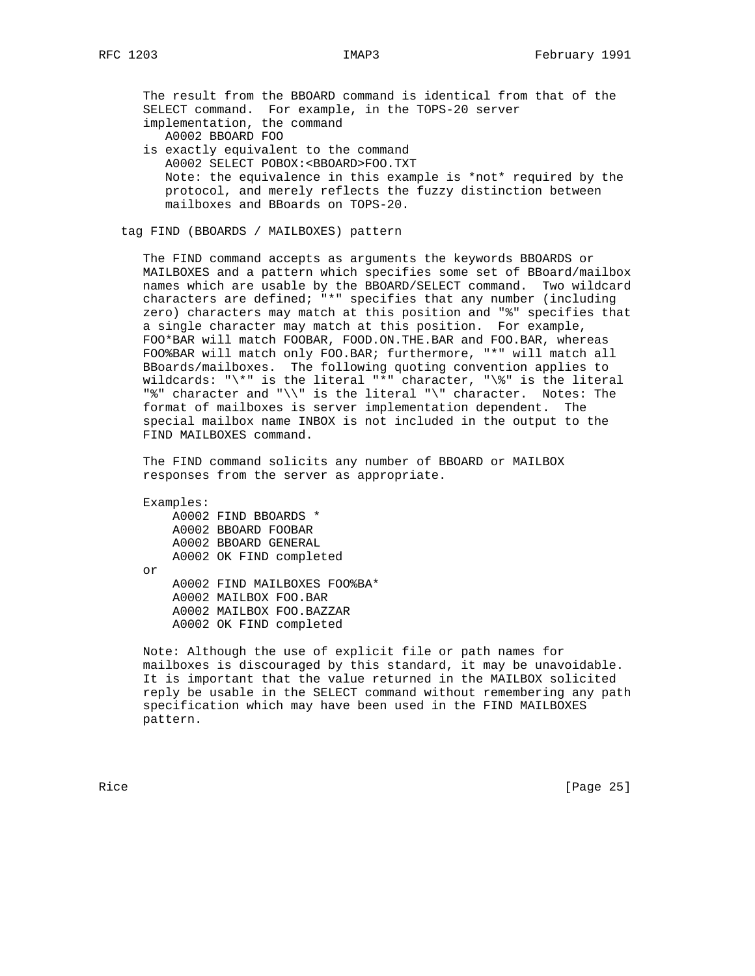The result from the BBOARD command is identical from that of the SELECT command. For example, in the TOPS-20 server implementation, the command A0002 BBOARD FOO is exactly equivalent to the command A0002 SELECT POBOX:<BBOARD>FOO.TXT Note: the equivalence in this example is \*not\* required by the protocol, and merely reflects the fuzzy distinction between mailboxes and BBoards on TOPS-20.

tag FIND (BBOARDS / MAILBOXES) pattern

 The FIND command accepts as arguments the keywords BBOARDS or MAILBOXES and a pattern which specifies some set of BBoard/mailbox names which are usable by the BBOARD/SELECT command. Two wildcard characters are defined; "\*" specifies that any number (including zero) characters may match at this position and "%" specifies that a single character may match at this position. For example, FOO\*BAR will match FOOBAR, FOOD.ON.THE.BAR and FOO.BAR, whereas FOO%BAR will match only FOO.BAR; furthermore, "\*" will match all BBoards/mailboxes. The following quoting convention applies to wildcards: " $\{\star\"$  is the literal "\*" character, " $\{\star\"$  is the literal "%" character and " $\backslash$ " is the literal " $\backslash$ " character. Notes: The format of mailboxes is server implementation dependent. The special mailbox name INBOX is not included in the output to the FIND MAILBOXES command.

 The FIND command solicits any number of BBOARD or MAILBOX responses from the server as appropriate.

Examples:

 A0002 FIND BBOARDS \* A0002 BBOARD FOOBAR A0002 BBOARD GENERAL A0002 OK FIND completed or A0002 FIND MAILBOXES FOO%BA\* A0002 MAILBOX FOO.BAR A0002 MAILBOX FOO.BAZZAR A0002 OK FIND completed

 Note: Although the use of explicit file or path names for mailboxes is discouraged by this standard, it may be unavoidable. It is important that the value returned in the MAILBOX solicited reply be usable in the SELECT command without remembering any path specification which may have been used in the FIND MAILBOXES pattern.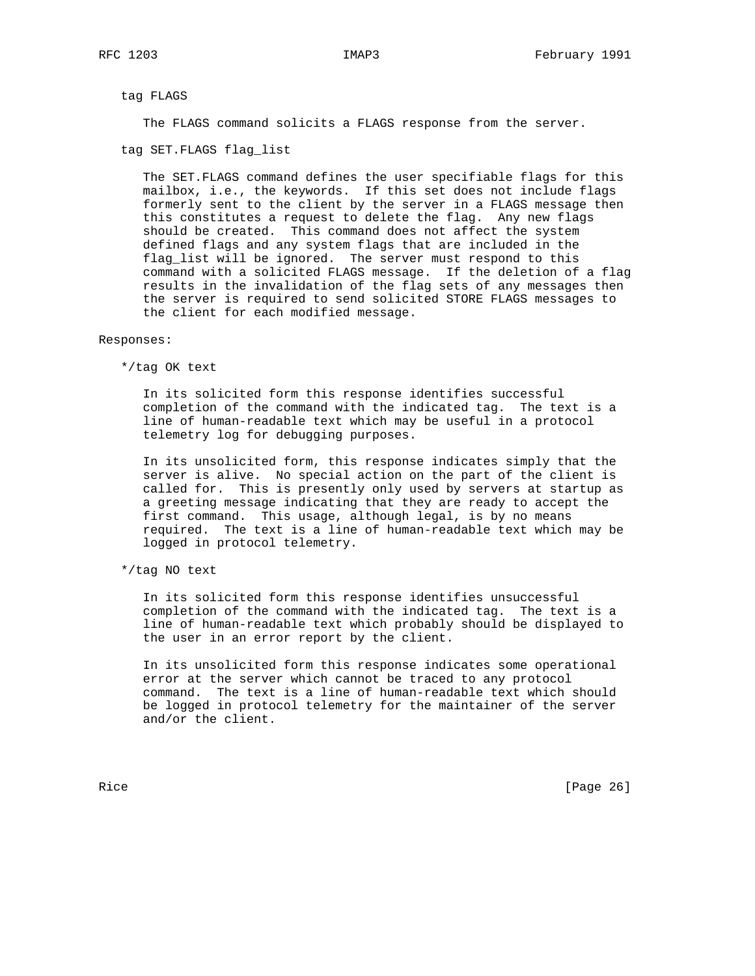tag FLAGS

The FLAGS command solicits a FLAGS response from the server.

tag SET.FLAGS flag\_list

 The SET.FLAGS command defines the user specifiable flags for this mailbox, i.e., the keywords. If this set does not include flags formerly sent to the client by the server in a FLAGS message then this constitutes a request to delete the flag. Any new flags should be created. This command does not affect the system defined flags and any system flags that are included in the flag\_list will be ignored. The server must respond to this command with a solicited FLAGS message. If the deletion of a flag results in the invalidation of the flag sets of any messages then the server is required to send solicited STORE FLAGS messages to the client for each modified message.

#### Responses:

\*/tag OK text

 In its solicited form this response identifies successful completion of the command with the indicated tag. The text is a line of human-readable text which may be useful in a protocol telemetry log for debugging purposes.

 In its unsolicited form, this response indicates simply that the server is alive. No special action on the part of the client is called for. This is presently only used by servers at startup as a greeting message indicating that they are ready to accept the first command. This usage, although legal, is by no means required. The text is a line of human-readable text which may be logged in protocol telemetry.

\*/tag NO text

 In its solicited form this response identifies unsuccessful completion of the command with the indicated tag. The text is a line of human-readable text which probably should be displayed to the user in an error report by the client.

 In its unsolicited form this response indicates some operational error at the server which cannot be traced to any protocol command. The text is a line of human-readable text which should be logged in protocol telemetry for the maintainer of the server and/or the client.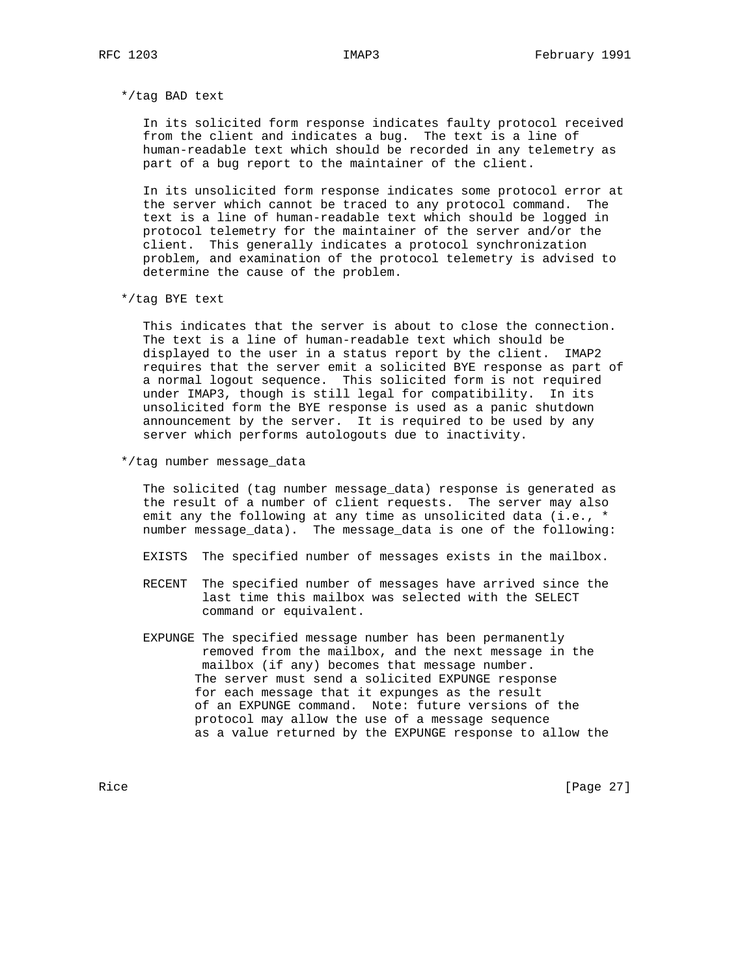\*/tag BAD text

 In its solicited form response indicates faulty protocol received from the client and indicates a bug. The text is a line of human-readable text which should be recorded in any telemetry as part of a bug report to the maintainer of the client.

 In its unsolicited form response indicates some protocol error at the server which cannot be traced to any protocol command. The text is a line of human-readable text which should be logged in protocol telemetry for the maintainer of the server and/or the client. This generally indicates a protocol synchronization problem, and examination of the protocol telemetry is advised to determine the cause of the problem.

\*/tag BYE text

 This indicates that the server is about to close the connection. The text is a line of human-readable text which should be displayed to the user in a status report by the client. IMAP2 requires that the server emit a solicited BYE response as part of a normal logout sequence. This solicited form is not required under IMAP3, though is still legal for compatibility. In its unsolicited form the BYE response is used as a panic shutdown announcement by the server. It is required to be used by any server which performs autologouts due to inactivity.

\*/tag number message\_data

 The solicited (tag number message\_data) response is generated as the result of a number of client requests. The server may also emit any the following at any time as unsolicited data (i.e., \* number message\_data). The message\_data is one of the following:

- EXISTS The specified number of messages exists in the mailbox.
- RECENT The specified number of messages have arrived since the last time this mailbox was selected with the SELECT command or equivalent.
- EXPUNGE The specified message number has been permanently removed from the mailbox, and the next message in the mailbox (if any) becomes that message number. The server must send a solicited EXPUNGE response for each message that it expunges as the result of an EXPUNGE command. Note: future versions of the protocol may allow the use of a message sequence as a value returned by the EXPUNGE response to allow the

Rice [Page 27]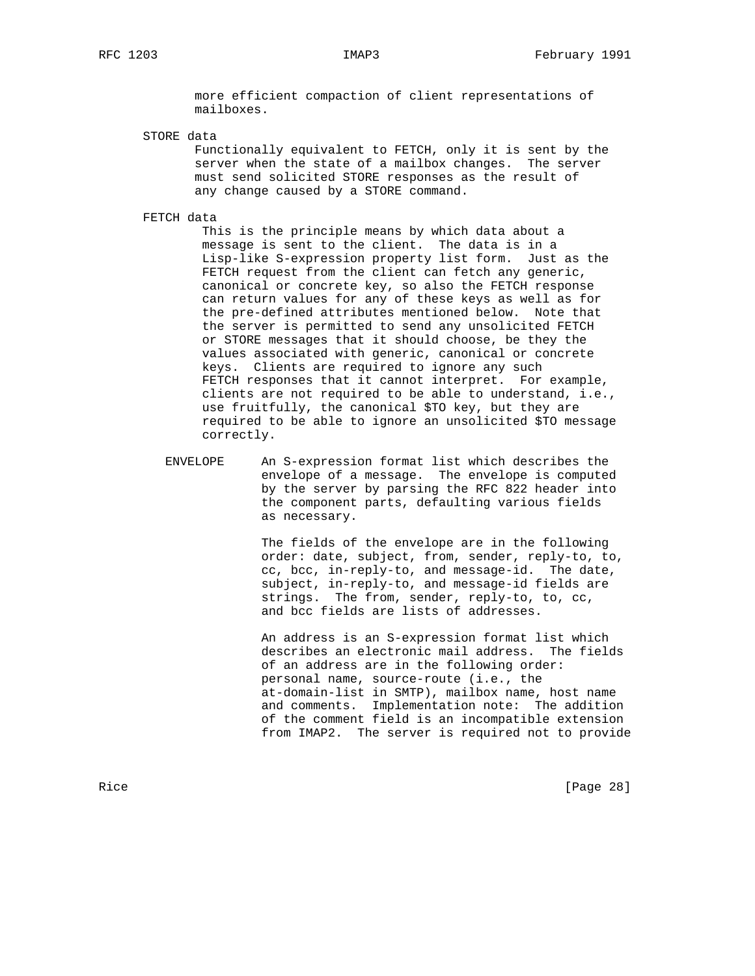more efficient compaction of client representations of mailboxes.

STORE data

 Functionally equivalent to FETCH, only it is sent by the server when the state of a mailbox changes. The server must send solicited STORE responses as the result of any change caused by a STORE command.

FETCH data

 This is the principle means by which data about a message is sent to the client. The data is in a Lisp-like S-expression property list form. Just as the FETCH request from the client can fetch any generic, canonical or concrete key, so also the FETCH response can return values for any of these keys as well as for the pre-defined attributes mentioned below. Note that the server is permitted to send any unsolicited FETCH or STORE messages that it should choose, be they the values associated with generic, canonical or concrete keys. Clients are required to ignore any such FETCH responses that it cannot interpret. For example, clients are not required to be able to understand, i.e., use fruitfully, the canonical \$TO key, but they are required to be able to ignore an unsolicited \$TO message correctly.

 ENVELOPE An S-expression format list which describes the envelope of a message. The envelope is computed by the server by parsing the RFC 822 header into the component parts, defaulting various fields as necessary.

> The fields of the envelope are in the following order: date, subject, from, sender, reply-to, to, cc, bcc, in-reply-to, and message-id. The date, subject, in-reply-to, and message-id fields are strings. The from, sender, reply-to, to, cc, and bcc fields are lists of addresses.

 An address is an S-expression format list which describes an electronic mail address. The fields of an address are in the following order: personal name, source-route (i.e., the at-domain-list in SMTP), mailbox name, host name and comments. Implementation note: The addition of the comment field is an incompatible extension from IMAP2. The server is required not to provide

Rice [Page 28]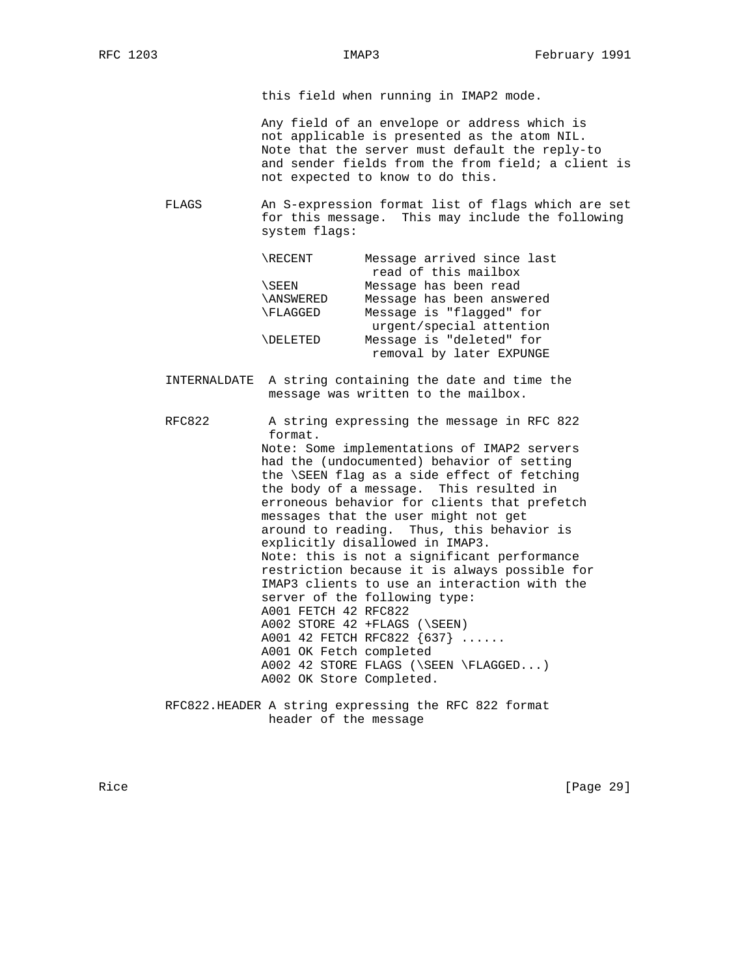this field when running in IMAP2 mode.

 Any field of an envelope or address which is not applicable is presented as the atom NIL. Note that the server must default the reply-to and sender fields from the from field; a client is not expected to know to do this.

 FLAGS An S-expression format list of flags which are set for this message. This may include the following system flags:

| \RECENT   | Message arrived since last |
|-----------|----------------------------|
|           | read of this mailbox       |
| \SEEN     | Message has been read      |
| \ANSWERED | Message has been answered  |
| \FLAGGED  | Message is "flagged" for   |
|           | urgent/special attention   |
| \DELETED  | Message is "deleted" for   |
|           | removal by later EXPUNGE   |
|           |                            |

 INTERNALDATE A string containing the date and time the message was written to the mailbox.

 RFC822 A string expressing the message in RFC 822 format.

 Note: Some implementations of IMAP2 servers had the (undocumented) behavior of setting the \SEEN flag as a side effect of fetching the body of a message. This resulted in erroneous behavior for clients that prefetch messages that the user might not get around to reading. Thus, this behavior is explicitly disallowed in IMAP3. Note: this is not a significant performance restriction because it is always possible for IMAP3 clients to use an interaction with the server of the following type: A001 FETCH 42 RFC822 A002 STORE 42 +FLAGS (\SEEN) A001 42 FETCH RFC822 {637} ...... A001 OK Fetch completed A002 42 STORE FLAGS (\SEEN \FLAGGED...) A002 OK Store Completed.

 RFC822.HEADER A string expressing the RFC 822 format header of the message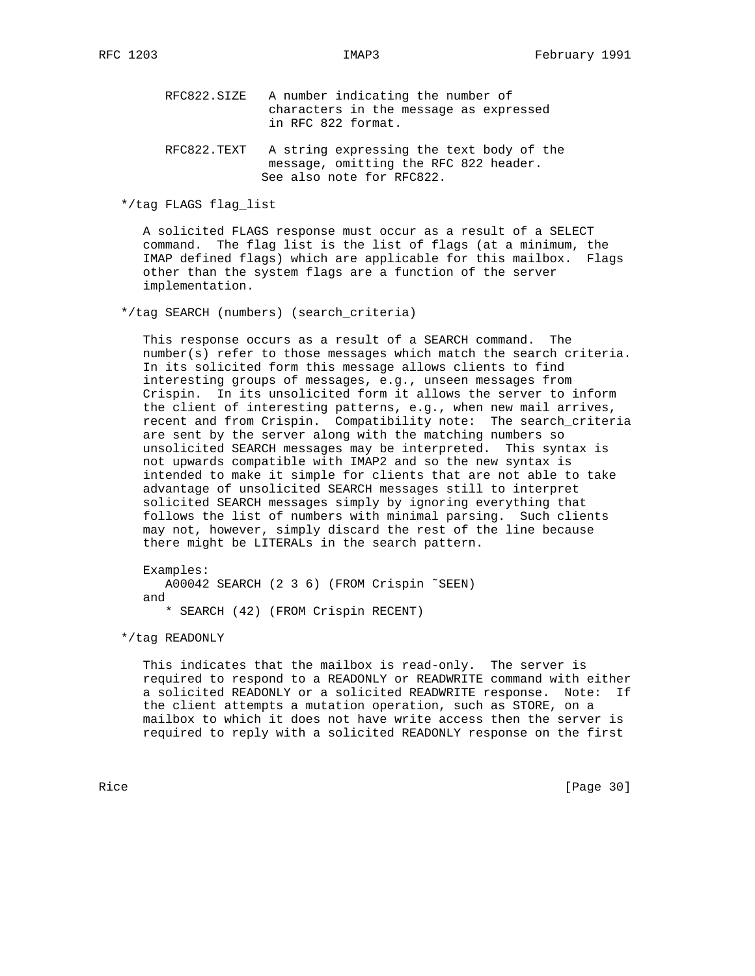RFC822.SIZE A number indicating the number of characters in the message as expressed in RFC 822 format.

 RFC822.TEXT A string expressing the text body of the message, omitting the RFC 822 header. See also note for RFC822.

\*/tag FLAGS flag\_list

 A solicited FLAGS response must occur as a result of a SELECT command. The flag list is the list of flags (at a minimum, the IMAP defined flags) which are applicable for this mailbox. Flags other than the system flags are a function of the server implementation.

\*/tag SEARCH (numbers) (search\_criteria)

 This response occurs as a result of a SEARCH command. The number(s) refer to those messages which match the search criteria. In its solicited form this message allows clients to find interesting groups of messages, e.g., unseen messages from Crispin. In its unsolicited form it allows the server to inform the client of interesting patterns, e.g., when new mail arrives, recent and from Crispin. Compatibility note: The search\_criteria are sent by the server along with the matching numbers so unsolicited SEARCH messages may be interpreted. This syntax is not upwards compatible with IMAP2 and so the new syntax is intended to make it simple for clients that are not able to take advantage of unsolicited SEARCH messages still to interpret solicited SEARCH messages simply by ignoring everything that follows the list of numbers with minimal parsing. Such clients may not, however, simply discard the rest of the line because there might be LITERALs in the search pattern.

 Examples: A00042 SEARCH (2 3 6) (FROM Crispin ˜SEEN) and \* SEARCH (42) (FROM Crispin RECENT)

\*/tag READONLY

 This indicates that the mailbox is read-only. The server is required to respond to a READONLY or READWRITE command with either a solicited READONLY or a solicited READWRITE response. Note: If the client attempts a mutation operation, such as STORE, on a mailbox to which it does not have write access then the server is required to reply with a solicited READONLY response on the first

Rice [Page 30]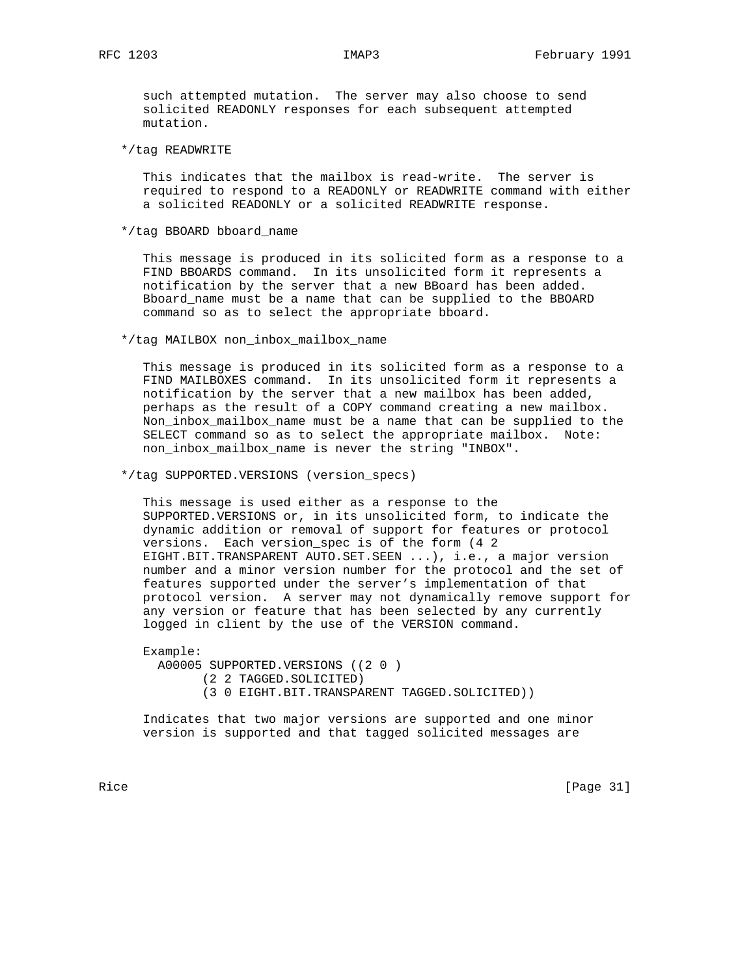such attempted mutation. The server may also choose to send solicited READONLY responses for each subsequent attempted mutation.

\*/tag READWRITE

 This indicates that the mailbox is read-write. The server is required to respond to a READONLY or READWRITE command with either a solicited READONLY or a solicited READWRITE response.

\*/tag BBOARD bboard\_name

 This message is produced in its solicited form as a response to a FIND BBOARDS command. In its unsolicited form it represents a notification by the server that a new BBoard has been added. Bboard\_name must be a name that can be supplied to the BBOARD command so as to select the appropriate bboard.

\*/tag MAILBOX non\_inbox\_mailbox\_name

 This message is produced in its solicited form as a response to a FIND MAILBOXES command. In its unsolicited form it represents a notification by the server that a new mailbox has been added, perhaps as the result of a COPY command creating a new mailbox. Non\_inbox\_mailbox\_name must be a name that can be supplied to the SELECT command so as to select the appropriate mailbox. Note: non\_inbox\_mailbox\_name is never the string "INBOX".

\*/tag SUPPORTED.VERSIONS (version\_specs)

 This message is used either as a response to the SUPPORTED.VERSIONS or, in its unsolicited form, to indicate the dynamic addition or removal of support for features or protocol versions. Each version\_spec is of the form (4 2 EIGHT.BIT.TRANSPARENT AUTO.SET.SEEN ...), i.e., a major version number and a minor version number for the protocol and the set of features supported under the server's implementation of that protocol version. A server may not dynamically remove support for any version or feature that has been selected by any currently logged in client by the use of the VERSION command.

 Example: A00005 SUPPORTED.VERSIONS ((2 0 ) (2 2 TAGGED.SOLICITED) (3 0 EIGHT.BIT.TRANSPARENT TAGGED.SOLICITED))

 Indicates that two major versions are supported and one minor version is supported and that tagged solicited messages are

Rice [Page 31]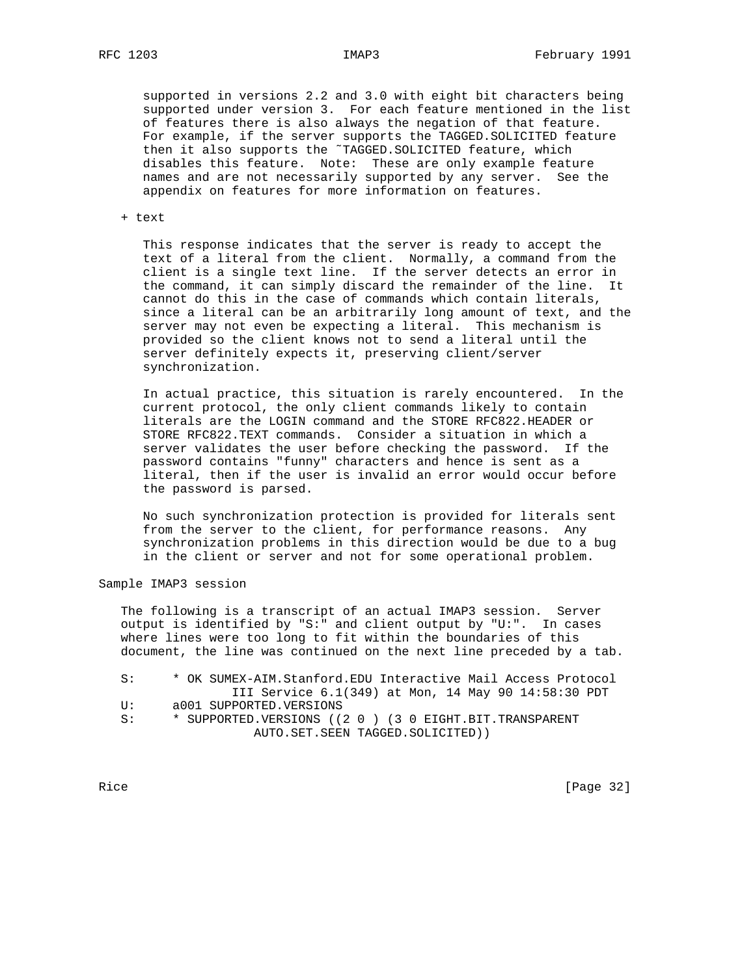supported in versions 2.2 and 3.0 with eight bit characters being supported under version 3. For each feature mentioned in the list of features there is also always the negation of that feature. For example, if the server supports the TAGGED.SOLICITED feature then it also supports the ˜TAGGED.SOLICITED feature, which disables this feature. Note: These are only example feature names and are not necessarily supported by any server. See the appendix on features for more information on features.

+ text

 This response indicates that the server is ready to accept the text of a literal from the client. Normally, a command from the client is a single text line. If the server detects an error in the command, it can simply discard the remainder of the line. It cannot do this in the case of commands which contain literals, since a literal can be an arbitrarily long amount of text, and the server may not even be expecting a literal. This mechanism is provided so the client knows not to send a literal until the server definitely expects it, preserving client/server synchronization.

 In actual practice, this situation is rarely encountered. In the current protocol, the only client commands likely to contain literals are the LOGIN command and the STORE RFC822.HEADER or STORE RFC822.TEXT commands. Consider a situation in which a server validates the user before checking the password. If the password contains "funny" characters and hence is sent as a literal, then if the user is invalid an error would occur before the password is parsed.

 No such synchronization protection is provided for literals sent from the server to the client, for performance reasons. Any synchronization problems in this direction would be due to a bug in the client or server and not for some operational problem.

Sample IMAP3 session

 The following is a transcript of an actual IMAP3 session. Server output is identified by "S:" and client output by "U:". In cases where lines were too long to fit within the boundaries of this document, the line was continued on the next line preceded by a tab.

 S: \* OK SUMEX-AIM.Stanford.EDU Interactive Mail Access Protocol III Service 6.1(349) at Mon, 14 May 90 14:58:30 PDT U: a001 SUPPORTED.VERSIONS S: \* SUPPORTED.VERSIONS ((2 0 ) (3 0 EIGHT.BIT.TRANSPARENT AUTO.SET.SEEN TAGGED.SOLICITED))

Rice [Page 32]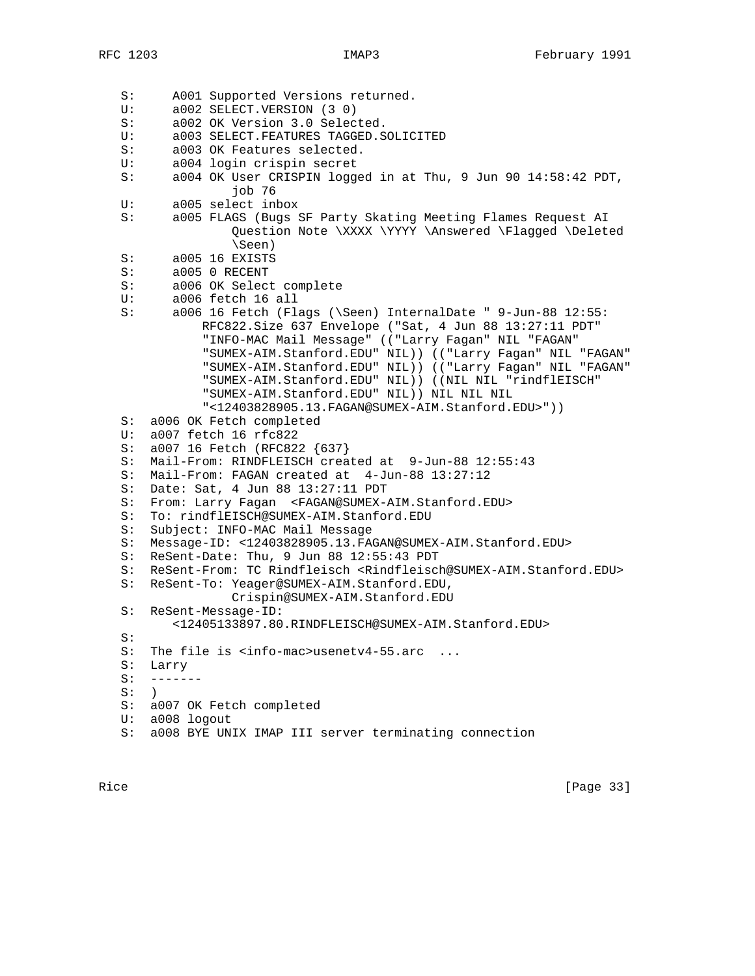```
 S: A001 Supported Versions returned.
 U: a002 SELECT.VERSION (3 0)
 S: a002 OK Version 3.0 Selected.
 U: a003 SELECT.FEATURES TAGGED.SOLICITED
 S: a003 OK Features selected.
 U: a004 login crispin secret
 S: a004 OK User CRISPIN logged in at Thu, 9 Jun 90 14:58:42 PDT,
                job 76
 U: a005 select inbox
 S: a005 FLAGS (Bugs SF Party Skating Meeting Flames Request AI
                Question Note \XXXX \YYYY \Answered \Flagged \Deleted
                \Seen)
 S: a005 16 EXISTS
 S: a005 0 RECENT
 S: a006 OK Select complete
 U: a006 fetch 16 all
 S: a006 16 Fetch (Flags (\Seen) InternalDate " 9-Jun-88 12:55:
            RFC822.Size 637 Envelope ("Sat, 4 Jun 88 13:27:11 PDT"
            "INFO-MAC Mail Message" (("Larry Fagan" NIL "FAGAN"
            "SUMEX-AIM.Stanford.EDU" NIL)) (("Larry Fagan" NIL "FAGAN"
            "SUMEX-AIM.Stanford.EDU" NIL)) (("Larry Fagan" NIL "FAGAN"
            "SUMEX-AIM.Stanford.EDU" NIL)) ((NIL NIL "rindflEISCH"
            "SUMEX-AIM.Stanford.EDU" NIL)) NIL NIL NIL
            "<12403828905.13.FAGAN@SUMEX-AIM.Stanford.EDU>"))
 S: a006 OK Fetch completed
 U: a007 fetch 16 rfc822
 S: a007 16 Fetch (RFC822 {637}
 S: Mail-From: RINDFLEISCH created at 9-Jun-88 12:55:43
 S: Mail-From: FAGAN created at 4-Jun-88 13:27:12
 S: Date: Sat, 4 Jun 88 13:27:11 PDT
 S: From: Larry Fagan <FAGAN@SUMEX-AIM.Stanford.EDU>
 S: To: rindflEISCH@SUMEX-AIM.Stanford.EDU
 S: Subject: INFO-MAC Mail Message
 S: Message-ID: <12403828905.13.FAGAN@SUMEX-AIM.Stanford.EDU>
 S: ReSent-Date: Thu, 9 Jun 88 12:55:43 PDT
 S: ReSent-From: TC Rindfleisch <Rindfleisch@SUMEX-AIM.Stanford.EDU>
 S: ReSent-To: Yeager@SUMEX-AIM.Stanford.EDU,
               Crispin@SUMEX-AIM.Stanford.EDU
 S: ReSent-Message-ID:
        <12405133897.80.RINDFLEISCH@SUMEX-AIM.Stanford.EDU>
 S:
S: The file is <info-mac>usenetv4-55.arc ...
 S: Larry
 S: -------
S: )
 S: a007 OK Fetch completed
 U: a008 logout
 S: a008 BYE UNIX IMAP III server terminating connection
```
Rice [Page 33]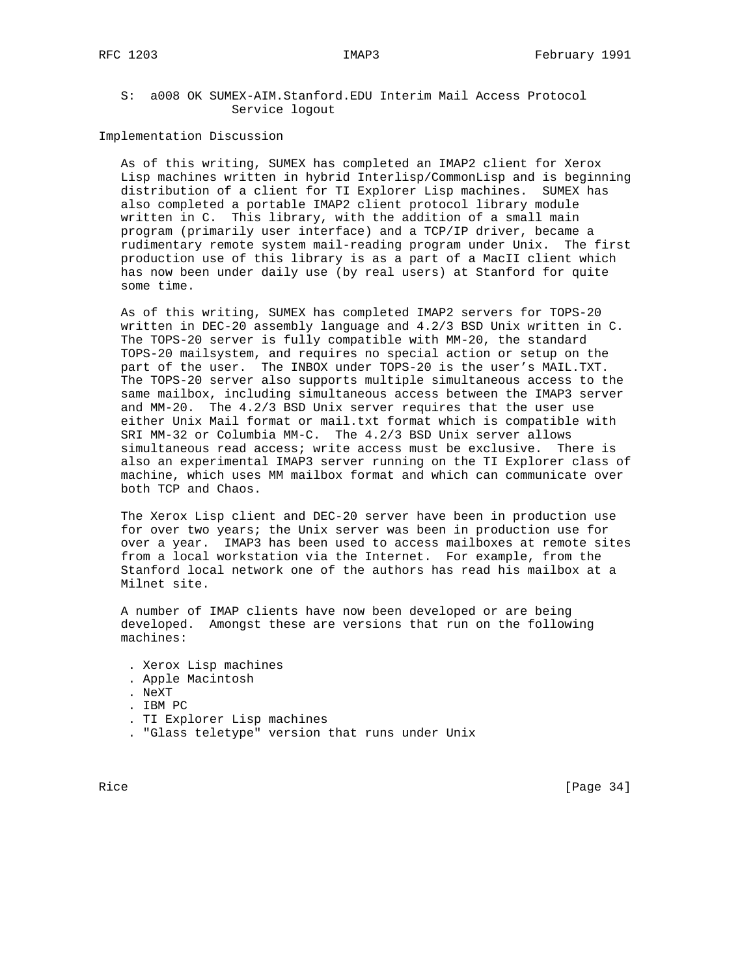# S: a008 OK SUMEX-AIM.Stanford.EDU Interim Mail Access Protocol Service logout

Implementation Discussion

 As of this writing, SUMEX has completed an IMAP2 client for Xerox Lisp machines written in hybrid Interlisp/CommonLisp and is beginning distribution of a client for TI Explorer Lisp machines. SUMEX has also completed a portable IMAP2 client protocol library module written in C. This library, with the addition of a small main program (primarily user interface) and a TCP/IP driver, became a rudimentary remote system mail-reading program under Unix. The first production use of this library is as a part of a MacII client which has now been under daily use (by real users) at Stanford for quite some time.

 As of this writing, SUMEX has completed IMAP2 servers for TOPS-20 written in DEC-20 assembly language and 4.2/3 BSD Unix written in C. The TOPS-20 server is fully compatible with MM-20, the standard TOPS-20 mailsystem, and requires no special action or setup on the part of the user. The INBOX under TOPS-20 is the user's MAIL.TXT. The TOPS-20 server also supports multiple simultaneous access to the same mailbox, including simultaneous access between the IMAP3 server and MM-20. The 4.2/3 BSD Unix server requires that the user use either Unix Mail format or mail.txt format which is compatible with SRI MM-32 or Columbia MM-C. The 4.2/3 BSD Unix server allows simultaneous read access; write access must be exclusive. There is also an experimental IMAP3 server running on the TI Explorer class of machine, which uses MM mailbox format and which can communicate over both TCP and Chaos.

 The Xerox Lisp client and DEC-20 server have been in production use for over two years; the Unix server was been in production use for over a year. IMAP3 has been used to access mailboxes at remote sites from a local workstation via the Internet. For example, from the Stanford local network one of the authors has read his mailbox at a Milnet site.

 A number of IMAP clients have now been developed or are being developed. Amongst these are versions that run on the following machines:

 . Xerox Lisp machines . Apple Macintosh . NeXT . IBM PC . TI Explorer Lisp machines . "Glass teletype" version that runs under Unix

Rice [Page 34]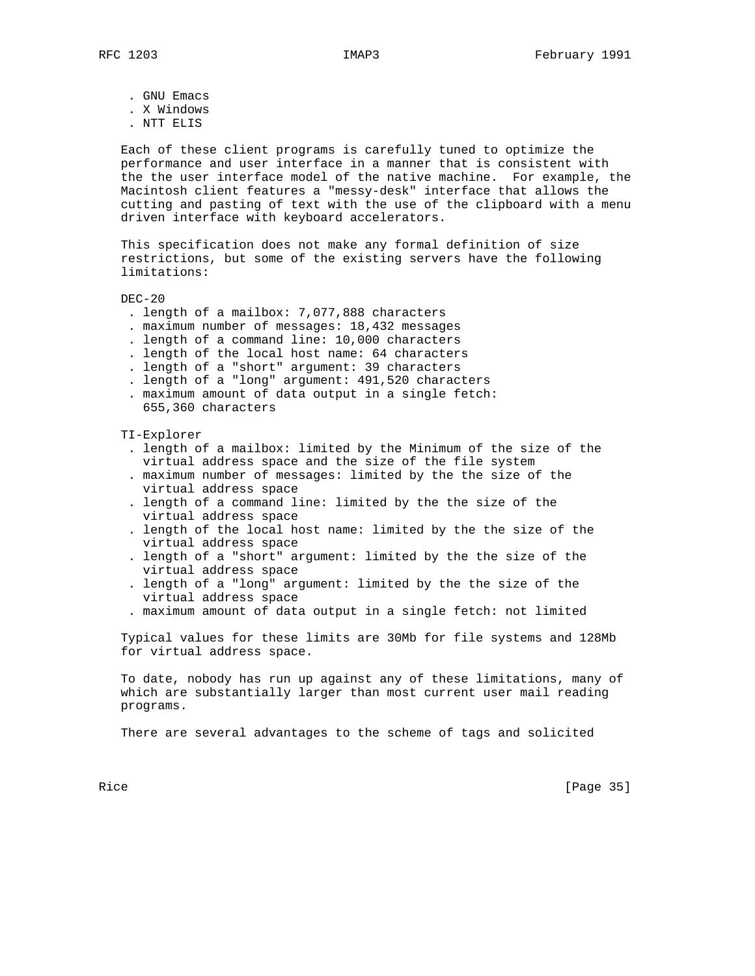. GNU Emacs

- . X Windows
- . NTT ELIS

 Each of these client programs is carefully tuned to optimize the performance and user interface in a manner that is consistent with the the user interface model of the native machine. For example, the Macintosh client features a "messy-desk" interface that allows the cutting and pasting of text with the use of the clipboard with a menu driven interface with keyboard accelerators.

 This specification does not make any formal definition of size restrictions, but some of the existing servers have the following limitations:

## DEC-20

- . length of a mailbox: 7,077,888 characters
- . maximum number of messages: 18,432 messages
- . length of a command line: 10,000 characters
- . length of the local host name: 64 characters
- . length of a "short" argument: 39 characters
- . length of a "long" argument: 491,520 characters
- . maximum amount of data output in a single fetch: 655,360 characters

#### TI-Explorer

- . length of a mailbox: limited by the Minimum of the size of the virtual address space and the size of the file system
- . maximum number of messages: limited by the the size of the virtual address space
- . length of a command line: limited by the the size of the virtual address space
- . length of the local host name: limited by the the size of the virtual address space
- . length of a "short" argument: limited by the the size of the virtual address space
- . length of a "long" argument: limited by the the size of the virtual address space
- . maximum amount of data output in a single fetch: not limited

 Typical values for these limits are 30Mb for file systems and 128Mb for virtual address space.

 To date, nobody has run up against any of these limitations, many of which are substantially larger than most current user mail reading programs.

There are several advantages to the scheme of tags and solicited

Rice [Page 35]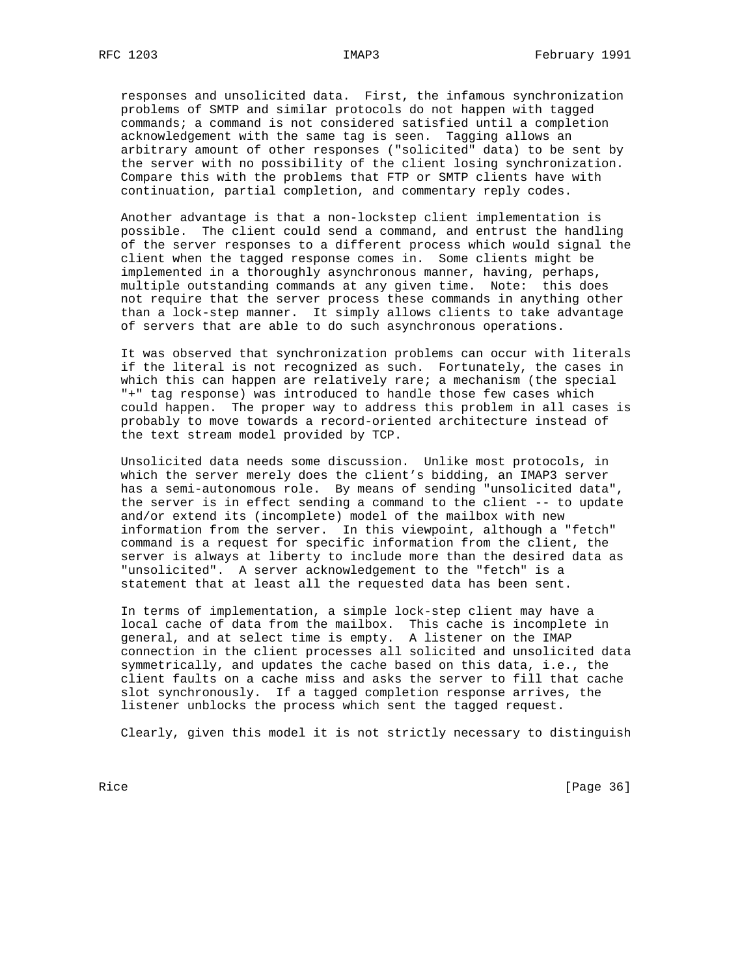responses and unsolicited data. First, the infamous synchronization problems of SMTP and similar protocols do not happen with tagged commands; a command is not considered satisfied until a completion acknowledgement with the same tag is seen. Tagging allows an arbitrary amount of other responses ("solicited" data) to be sent by the server with no possibility of the client losing synchronization. Compare this with the problems that FTP or SMTP clients have with continuation, partial completion, and commentary reply codes.

 Another advantage is that a non-lockstep client implementation is possible. The client could send a command, and entrust the handling of the server responses to a different process which would signal the client when the tagged response comes in. Some clients might be implemented in a thoroughly asynchronous manner, having, perhaps, multiple outstanding commands at any given time. Note: this does not require that the server process these commands in anything other than a lock-step manner. It simply allows clients to take advantage of servers that are able to do such asynchronous operations.

 It was observed that synchronization problems can occur with literals if the literal is not recognized as such. Fortunately, the cases in which this can happen are relatively rare; a mechanism (the special "+" tag response) was introduced to handle those few cases which could happen. The proper way to address this problem in all cases is probably to move towards a record-oriented architecture instead of the text stream model provided by TCP.

 Unsolicited data needs some discussion. Unlike most protocols, in which the server merely does the client's bidding, an IMAP3 server has a semi-autonomous role. By means of sending "unsolicited data", the server is in effect sending a command to the client -- to update and/or extend its (incomplete) model of the mailbox with new information from the server. In this viewpoint, although a "fetch" command is a request for specific information from the client, the server is always at liberty to include more than the desired data as "unsolicited". A server acknowledgement to the "fetch" is a statement that at least all the requested data has been sent.

 In terms of implementation, a simple lock-step client may have a local cache of data from the mailbox. This cache is incomplete in general, and at select time is empty. A listener on the IMAP connection in the client processes all solicited and unsolicited data symmetrically, and updates the cache based on this data, i.e., the client faults on a cache miss and asks the server to fill that cache slot synchronously. If a tagged completion response arrives, the listener unblocks the process which sent the tagged request.

Clearly, given this model it is not strictly necessary to distinguish

Rice [Page 36]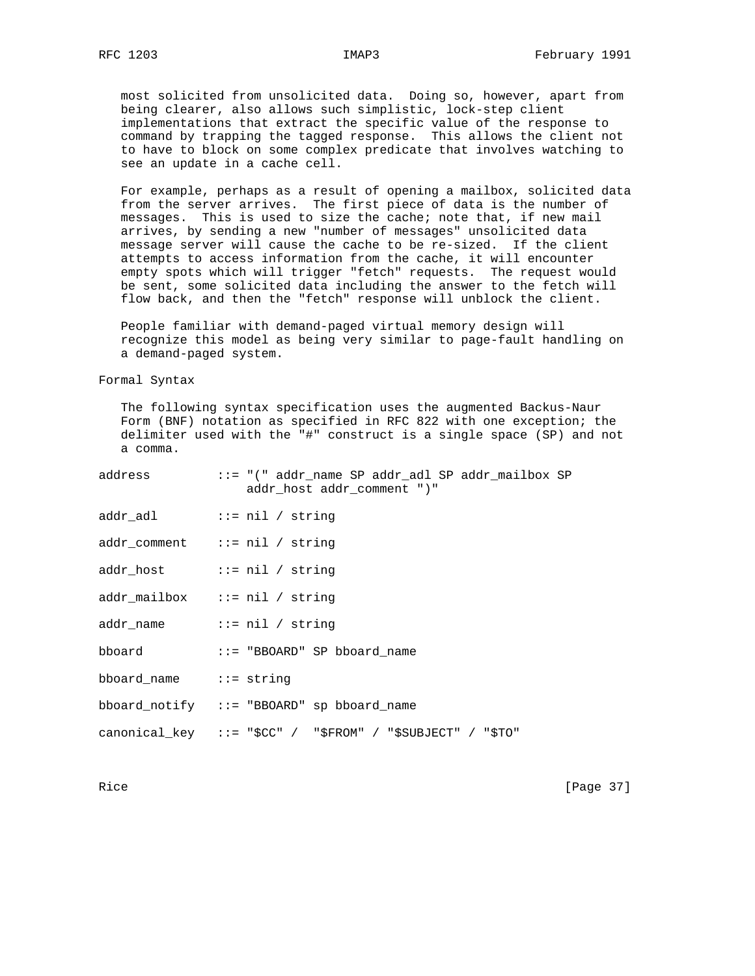most solicited from unsolicited data. Doing so, however, apart from being clearer, also allows such simplistic, lock-step client implementations that extract the specific value of the response to command by trapping the tagged response. This allows the client not to have to block on some complex predicate that involves watching to see an update in a cache cell.

 For example, perhaps as a result of opening a mailbox, solicited data from the server arrives. The first piece of data is the number of messages. This is used to size the cache; note that, if new mail arrives, by sending a new "number of messages" unsolicited data message server will cause the cache to be re-sized. If the client attempts to access information from the cache, it will encounter empty spots which will trigger "fetch" requests. The request would be sent, some solicited data including the answer to the fetch will flow back, and then the "fetch" response will unblock the client.

 People familiar with demand-paged virtual memory design will recognize this model as being very similar to page-fault handling on a demand-paged system.

Formal Syntax

 The following syntax specification uses the augmented Backus-Naur Form (BNF) notation as specified in RFC 822 with one exception; the delimiter used with the "#" construct is a single space (SP) and not a comma.

|                        | addr host addr comment ")"                                 |
|------------------------|------------------------------------------------------------|
|                        |                                                            |
|                        | addr_comment ::= nil / string                              |
|                        |                                                            |
|                        | addr_mailbox ::= nil / string                              |
|                        | addr name $\cdots$ i= nil / string                         |
|                        | bboard ::= "BBOARD" SP bboard_name                         |
| bboard_name ::= string |                                                            |
|                        | bboard_notify ::= "BBOARD" sp bboard_name                  |
|                        | canonical_key ::= "\$CC" / "\$FROM" / "\$SUBJECT" / "\$TO" |

Rice [Page 37]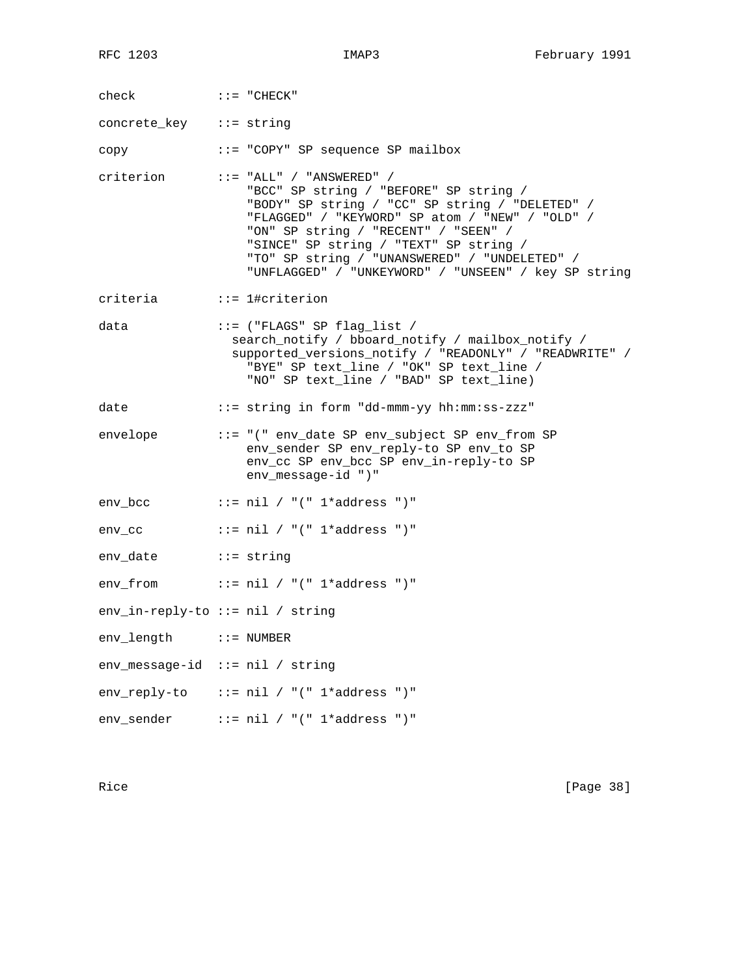check ::= "CHECK" concrete\_key ::= string copy ::= "COPY" SP sequence SP mailbox criterion ::= "ALL" / "ANSWERED" / "BCC" SP string / "BEFORE" SP string / "BODY" SP string / "CC" SP string / "DELETED" / "FLAGGED" / "KEYWORD" SP atom / "NEW" / "OLD" / "ON" SP string / "RECENT" / "SEEN" / "SINCE" SP string / "TEXT" SP string / "TO" SP string / "UNANSWERED" / "UNDELETED" / "UNFLAGGED" / "UNKEYWORD" / "UNSEEN" / key SP string criteria ::= 1#criterion data  $::=$  ("FLAGS" SP flag\_list / search\_notify / bboard\_notify / mailbox\_notify / supported\_versions\_notify / "READONLY" / "READWRITE" / "BYE" SP text\_line / "OK" SP text\_line / "NO" SP text\_line / "BAD" SP text\_line) date ::= string in form "dd-mmm-yy hh:mm:ss-zzz" envelope ::= "(" env\_date SP env\_subject SP env\_from SP env\_sender SP env\_reply-to SP env\_to SP env\_cc SP env\_bcc SP env\_in-reply-to SP env\_message-id ")" env\_bcc  $::=$  nil / "(" 1\*address ")" env\_cc  $::=$  nil / "(" 1\*address ")" env\_date ::= string env\_from  $::=$  nil / "(" 1\*address ")" env\_in-reply-to ::= nil / string env\_length ::= NUMBER env\_message-id ::= nil / string env\_reply-to ::= nil / "(" 1\*address ")" env\_sender ::= nil / "(" 1\*address ")"

Rice [Page 38]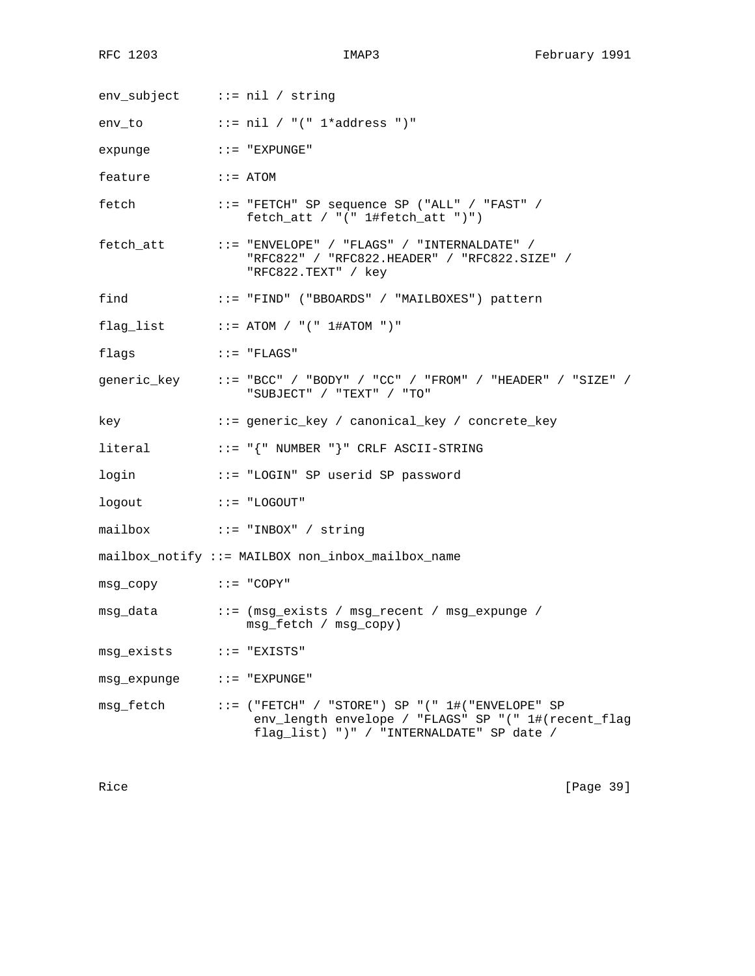env\_subject ::= nil / string env\_to  $::=$  nil / "(" 1\*address ")" expunge ::= "EXPUNGE" feature ::= ATOM fetch ::= "FETCH" SP sequence SP ("ALL" / "FAST" / fetch\_att / "(" 1#fetch\_att ")") fetch\_att ::= "ENVELOPE" / "FLAGS" / "INTERNALDATE" / "RFC822" / "RFC822.HEADER" / "RFC822.SIZE" / "RFC822.TEXT" / key find ::= "FIND" ("BBOARDS" / "MAILBOXES") pattern  $flag\_list$  ::= ATOM / "("  $1#ATOM$  ")" flags  $\qquad :: = "FLAGS"$ generic\_key ::= "BCC" / "BODY" / "CC" / "FROM" / "HEADER" / "SIZE" / "SUBJECT" / "TEXT" / "TO" key ::= generic\_key / canonical\_key / concrete\_key literal ::= "{" NUMBER "}" CRLF ASCII-STRING login ::= "LOGIN" SP userid SP password logout ::= "LOGOUT" mailbox ::= "INBOX" / string mailbox\_notify ::= MAILBOX non\_inbox\_mailbox\_name msg\_copy ::= "COPY" msg\_data ::= (msg\_exists / msg\_recent / msg\_expunge / msg\_fetch / msg\_copy) msg\_exists ::= "EXISTS" msg\_expunge ::= "EXPUNGE" msg\_fetch ::= ("FETCH" / "STORE") SP "(" 1#("ENVELOPE" SP env\_length envelope / "FLAGS" SP "(" 1#(recent\_flag flag\_list) ")" / "INTERNALDATE" SP date /

Rice [Page 39]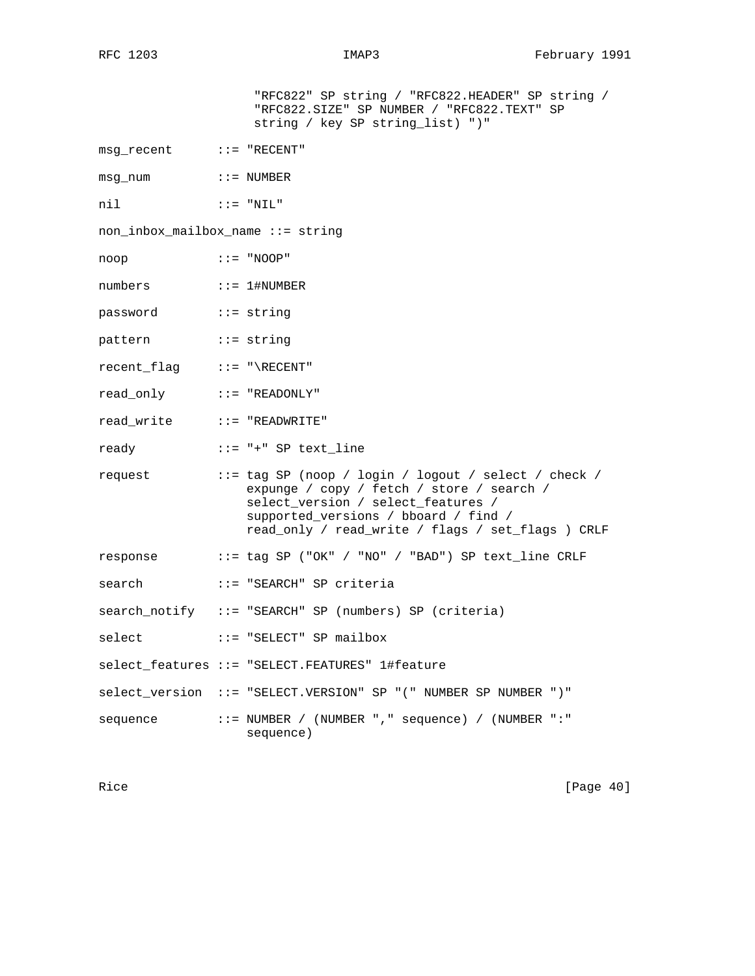|                                                                                                       | "RFC822" SP string / "RFC822.HEADER" SP string /<br>"RFC822.SIZE" SP NUMBER / "RFC822.TEXT" SP<br>string / key SP string_list) ")"                                                                                                           |
|-------------------------------------------------------------------------------------------------------|----------------------------------------------------------------------------------------------------------------------------------------------------------------------------------------------------------------------------------------------|
| $msg$ recent $\qquad :: = "RECENT"$                                                                   |                                                                                                                                                                                                                                              |
| msq num                                                                                               | $\colon \colon = \text{ NUMBER}$                                                                                                                                                                                                             |
| $\mathbf{H}$ : $\mathbf{H}$ = $\mathbf{H}$ $\mathbf{N}$ $\mathbf{L}$ $\mathbf{H}$ $\mathbf{H}$<br>nil |                                                                                                                                                                                                                                              |
| non_inbox_mailbox_name ::= string                                                                     |                                                                                                                                                                                                                                              |
| $\cdot : = "NOOP"$<br>noop                                                                            |                                                                                                                                                                                                                                              |
| numbers ::= 1#NUMBER                                                                                  |                                                                                                                                                                                                                                              |
| password ::= string                                                                                   |                                                                                                                                                                                                                                              |
| pattern ::= string                                                                                    |                                                                                                                                                                                                                                              |
| recent_flag ::= "\RECENT"                                                                             |                                                                                                                                                                                                                                              |
| read_only ::= "READONLY"                                                                              |                                                                                                                                                                                                                                              |
|                                                                                                       |                                                                                                                                                                                                                                              |
|                                                                                                       | ready ::= "+" SP text_line                                                                                                                                                                                                                   |
|                                                                                                       | request ::= tag SP (noop / login / logout / select / check /<br>expunge / copy / fetch / store / search /<br>select_version / select_features /<br>supported_versions / bboard / find /<br>read_only / read_write / flags / set_flags ) CRLF |
|                                                                                                       | response ::= tag SP ("OK" / "NO" / "BAD") SP text_line CRLF                                                                                                                                                                                  |
| search                                                                                                | ::= "SEARCH" SP criteria                                                                                                                                                                                                                     |
|                                                                                                       | search_notify ::= "SEARCH" SP (numbers) SP (criteria)                                                                                                                                                                                        |
| select                                                                                                | ::= "SELECT" SP mailbox                                                                                                                                                                                                                      |
|                                                                                                       | select features ::= "SELECT.FEATURES" 1#feature                                                                                                                                                                                              |
|                                                                                                       | select_version ::= "SELECT.VERSION" SP "(" NUMBER SP NUMBER ")"                                                                                                                                                                              |
| sequence                                                                                              | ::= NUMBER / (NUMBER "," sequence) / (NUMBER ":"<br>sequence)                                                                                                                                                                                |

Rice [Page 40]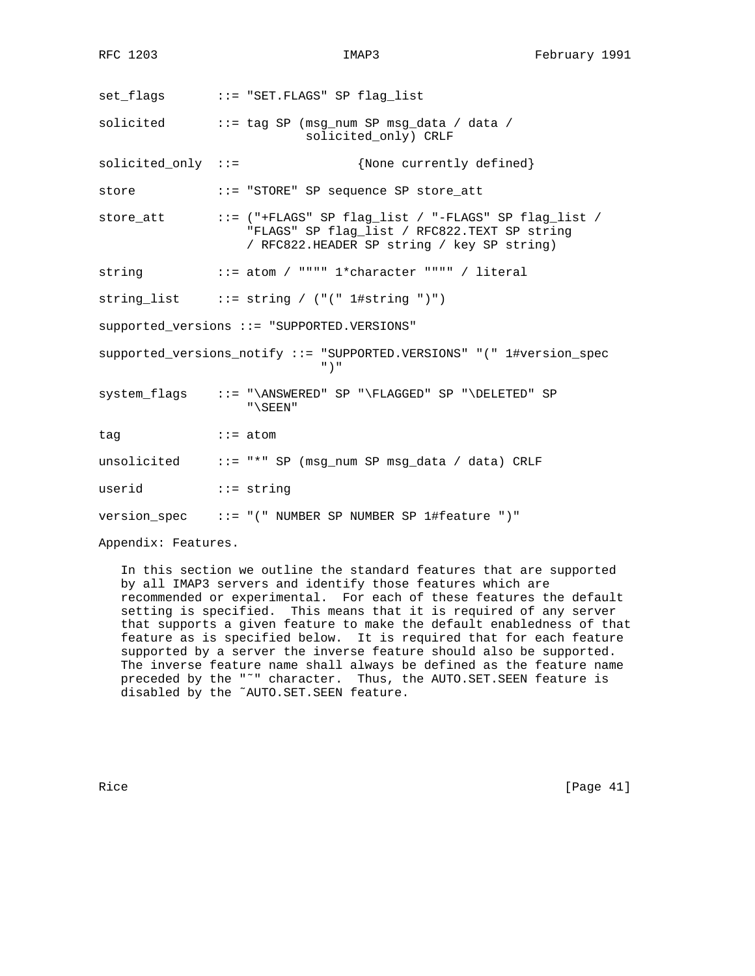set\_flags ::= "SET.FLAGS" SP flag\_list solicited ::= tag SP (msg\_num SP msg\_data / data / solicited\_only) CRLF solicited\_only ::= {None currently defined} store ::= "STORE" SP sequence SP store\_att store\_att ::= ("+FLAGS" SP flag\_list / "-FLAGS" SP flag\_list / "FLAGS" SP flag\_list / RFC822.TEXT SP string / RFC822.HEADER SP string / key SP string) string  $::=$  atom / """" 1\*character """" / literal string\_list ::= string / ("(" 1#string ")") supported\_versions ::= "SUPPORTED.VERSIONS" supported\_versions\_notify ::= "SUPPORTED.VERSIONS" "(" 1#version\_spec ")" system\_flags ::= "\ANSWERED" SP "\FLAGGED" SP "\DELETED" SP "\SEEN" tag  $\qquad \qquad ::= atom$ unsolicited ::= "\*" SP (msg\_num SP msg\_data / data) CRLF userid ::= string version\_spec ::= "(" NUMBER SP NUMBER SP 1#feature ")"

Appendix: Features.

 In this section we outline the standard features that are supported by all IMAP3 servers and identify those features which are recommended or experimental. For each of these features the default setting is specified. This means that it is required of any server that supports a given feature to make the default enabledness of that feature as is specified below. It is required that for each feature supported by a server the inverse feature should also be supported. The inverse feature name shall always be defined as the feature name preceded by the "˜" character. Thus, the AUTO.SET.SEEN feature is disabled by the ˜AUTO.SET.SEEN feature.

Rice [Page 41]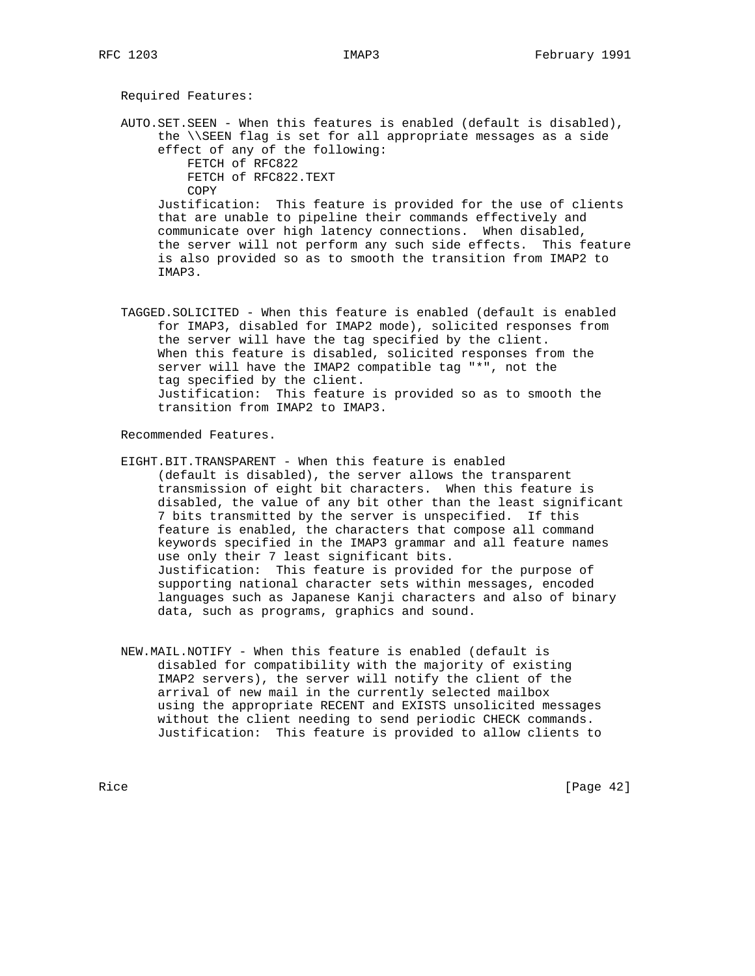Required Features:

 AUTO.SET.SEEN - When this features is enabled (default is disabled), the \\SEEN flag is set for all appropriate messages as a side effect of any of the following: FETCH of RFC822 FETCH of RFC822.TEXT COPY Justification: This feature is provided for the use of clients that are unable to pipeline their commands effectively and communicate over high latency connections. When disabled, the server will not perform any such side effects. This feature is also provided so as to smooth the transition from IMAP2 to IMAP3.

 TAGGED.SOLICITED - When this feature is enabled (default is enabled for IMAP3, disabled for IMAP2 mode), solicited responses from the server will have the tag specified by the client. When this feature is disabled, solicited responses from the server will have the IMAP2 compatible tag "\*", not the tag specified by the client. Justification: This feature is provided so as to smooth the transition from IMAP2 to IMAP3.

Recommended Features.

- EIGHT.BIT.TRANSPARENT When this feature is enabled (default is disabled), the server allows the transparent transmission of eight bit characters. When this feature is disabled, the value of any bit other than the least significant 7 bits transmitted by the server is unspecified. If this feature is enabled, the characters that compose all command keywords specified in the IMAP3 grammar and all feature names use only their 7 least significant bits. Justification: This feature is provided for the purpose of supporting national character sets within messages, encoded languages such as Japanese Kanji characters and also of binary data, such as programs, graphics and sound.
- NEW.MAIL.NOTIFY When this feature is enabled (default is disabled for compatibility with the majority of existing IMAP2 servers), the server will notify the client of the arrival of new mail in the currently selected mailbox using the appropriate RECENT and EXISTS unsolicited messages without the client needing to send periodic CHECK commands. Justification: This feature is provided to allow clients to

Rice [Page 42]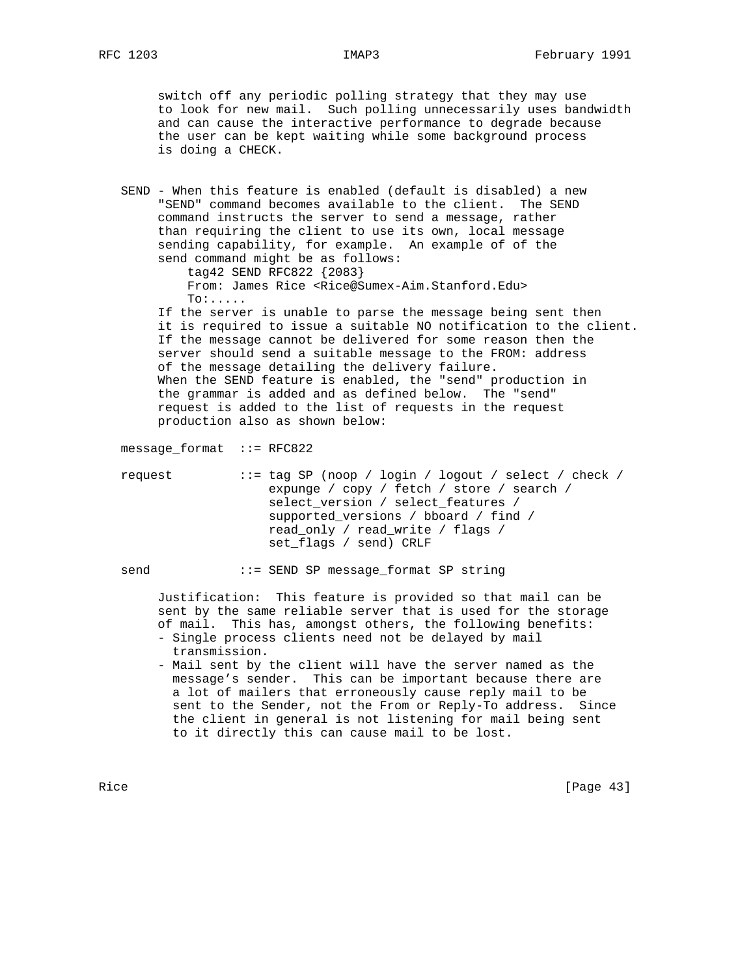switch off any periodic polling strategy that they may use to look for new mail. Such polling unnecessarily uses bandwidth and can cause the interactive performance to degrade because the user can be kept waiting while some background process is doing a CHECK.

 SEND - When this feature is enabled (default is disabled) a new "SEND" command becomes available to the client. The SEND command instructs the server to send a message, rather than requiring the client to use its own, local message sending capability, for example. An example of of the send command might be as follows: tag42 SEND RFC822 {2083} From: James Rice <Rice@Sumex-Aim.Stanford.Edu> To:..... If the server is unable to parse the message being sent then it is required to issue a suitable NO notification to the client. If the message cannot be delivered for some reason then the server should send a suitable message to the FROM: address of the message detailing the delivery failure.

 When the SEND feature is enabled, the "send" production in the grammar is added and as defined below. The "send" request is added to the list of requests in the request production also as shown below:

message\_format ::= RFC822

 request ::= tag SP (noop / login / logout / select / check / expunge / copy / fetch / store / search / select version / select features / supported\_versions / bboard / find / read\_only / read\_write / flags / set flags / send) CRLF

send ::= SEND SP message\_format SP string

 Justification: This feature is provided so that mail can be sent by the same reliable server that is used for the storage of mail. This has, amongst others, the following benefits:

- Single process clients need not be delayed by mail transmission.
- Mail sent by the client will have the server named as the message's sender. This can be important because there are a lot of mailers that erroneously cause reply mail to be sent to the Sender, not the From or Reply-To address. Since the client in general is not listening for mail being sent to it directly this can cause mail to be lost.

Rice [Page 43]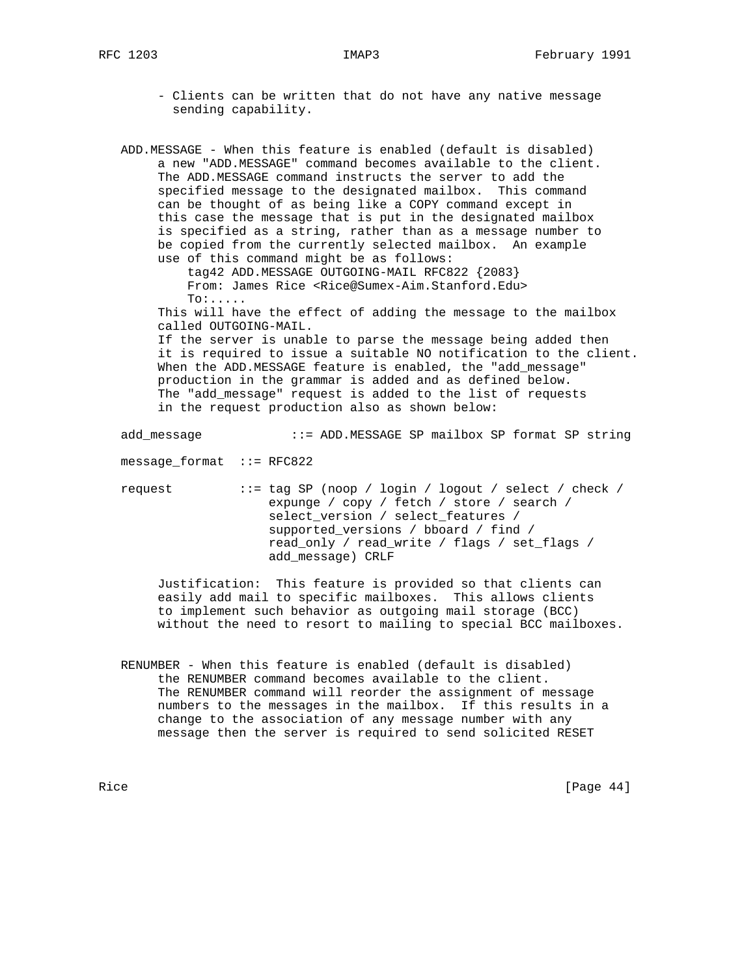- Clients can be written that do not have any native message sending capability.
- ADD.MESSAGE When this feature is enabled (default is disabled) a new "ADD.MESSAGE" command becomes available to the client. The ADD.MESSAGE command instructs the server to add the specified message to the designated mailbox. This command can be thought of as being like a COPY command except in this case the message that is put in the designated mailbox is specified as a string, rather than as a message number to be copied from the currently selected mailbox. An example use of this command might be as follows:

 tag42 ADD.MESSAGE OUTGOING-MAIL RFC822 {2083} From: James Rice <Rice@Sumex-Aim.Stanford.Edu> To:.....

 This will have the effect of adding the message to the mailbox called OUTGOING-MAIL.

 If the server is unable to parse the message being added then it is required to issue a suitable NO notification to the client. When the ADD.MESSAGE feature is enabled, the "add\_message" production in the grammar is added and as defined below. The "add\_message" request is added to the list of requests in the request production also as shown below:

add\_message ::= ADD.MESSAGE SP mailbox SP format SP string

message\_format ::= RFC822

 request ::= tag SP (noop / login / logout / select / check / expunge / copy / fetch / store / search / select\_version / select\_features / supported\_versions / bboard / find / read\_only / read\_write / flags / set\_flags / add\_message) CRLF

 Justification: This feature is provided so that clients can easily add mail to specific mailboxes. This allows clients to implement such behavior as outgoing mail storage (BCC) without the need to resort to mailing to special BCC mailboxes.

 RENUMBER - When this feature is enabled (default is disabled) the RENUMBER command becomes available to the client. The RENUMBER command will reorder the assignment of message numbers to the messages in the mailbox. If this results in a change to the association of any message number with any message then the server is required to send solicited RESET

Rice [Page 44]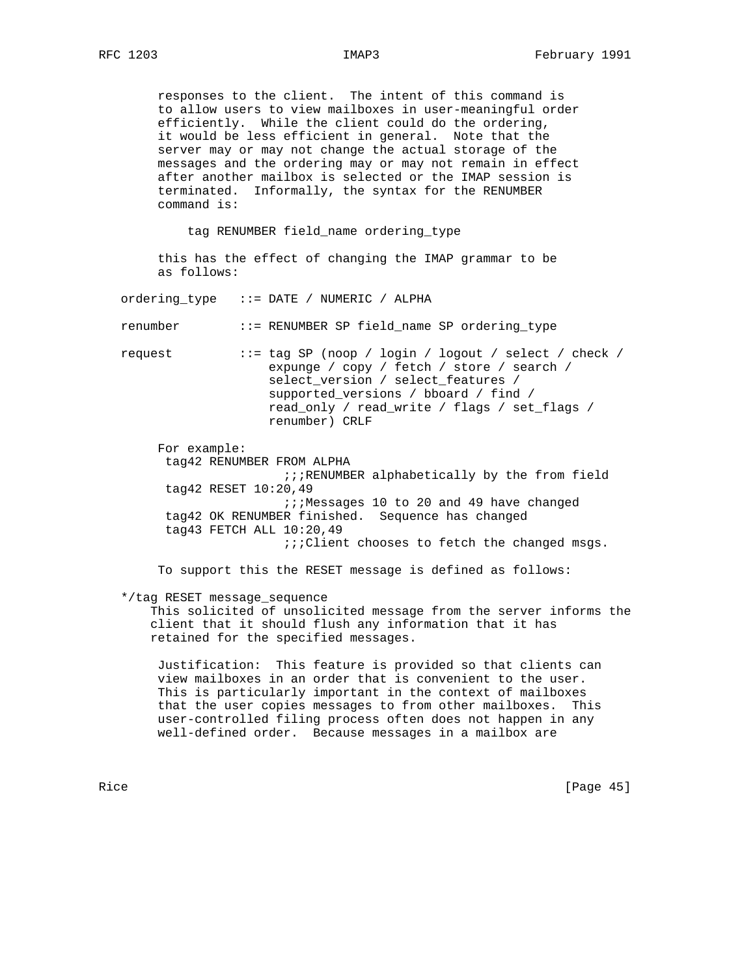responses to the client. The intent of this command is to allow users to view mailboxes in user-meaningful order efficiently. While the client could do the ordering, it would be less efficient in general. Note that the server may or may not change the actual storage of the messages and the ordering may or may not remain in effect after another mailbox is selected or the IMAP session is terminated. Informally, the syntax for the RENUMBER command is:

tag RENUMBER field\_name ordering\_type

 this has the effect of changing the IMAP grammar to be as follows:

ordering\_type ::= DATE / NUMERIC / ALPHA

renumber ::= RENUMBER SP field\_name SP ordering\_type

 request ::= tag SP (noop / login / logout / select / check / expunge / copy / fetch / store / search / select\_version / select\_features / supported\_versions / bboard / find / read\_only / read\_write / flags / set\_flags / renumber) CRLF

 For example: tag42 RENUMBER FROM ALPHA ;;;RENUMBER alphabetically by the from field tag42 RESET 10:20,49 ;;;Messages 10 to 20 and 49 have changed tag42 OK RENUMBER finished. Sequence has changed tag43 FETCH ALL 10:20,49 ;;;Client chooses to fetch the changed msgs.

To support this the RESET message is defined as follows:

\*/tag RESET message\_sequence

 This solicited of unsolicited message from the server informs the client that it should flush any information that it has retained for the specified messages.

 Justification: This feature is provided so that clients can view mailboxes in an order that is convenient to the user. This is particularly important in the context of mailboxes that the user copies messages to from other mailboxes. This user-controlled filing process often does not happen in any well-defined order. Because messages in a mailbox are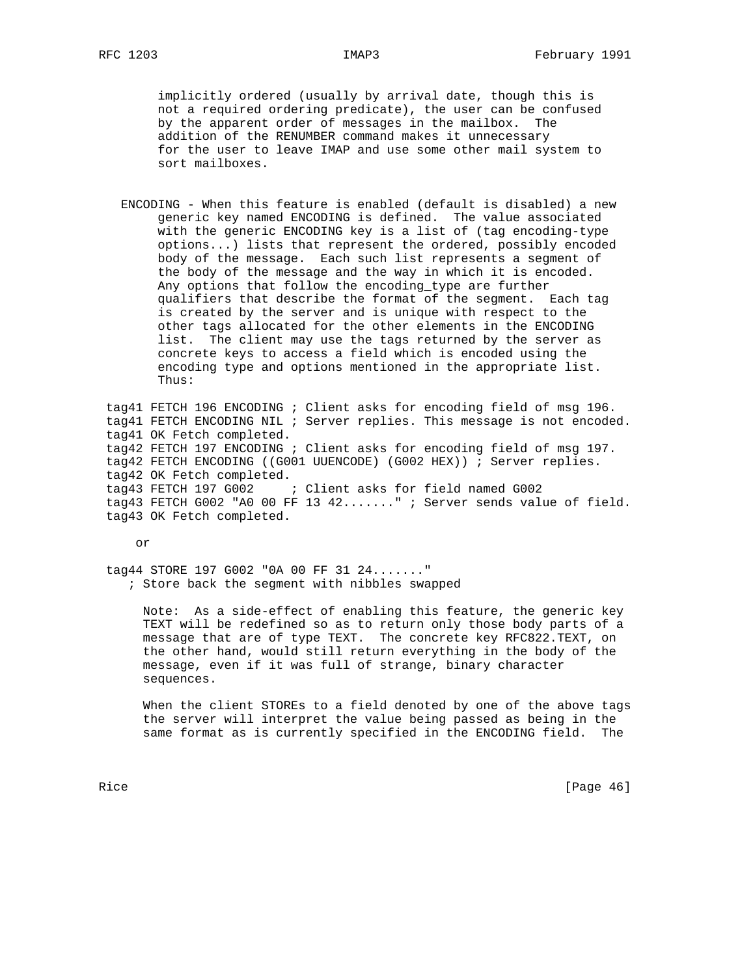implicitly ordered (usually by arrival date, though this is not a required ordering predicate), the user can be confused by the apparent order of messages in the mailbox. The addition of the RENUMBER command makes it unnecessary for the user to leave IMAP and use some other mail system to sort mailboxes.

 ENCODING - When this feature is enabled (default is disabled) a new generic key named ENCODING is defined. The value associated with the generic ENCODING key is a list of (tag encoding-type options...) lists that represent the ordered, possibly encoded body of the message. Each such list represents a segment of the body of the message and the way in which it is encoded. Any options that follow the encoding\_type are further qualifiers that describe the format of the segment. Each tag is created by the server and is unique with respect to the other tags allocated for the other elements in the ENCODING list. The client may use the tags returned by the server as concrete keys to access a field which is encoded using the encoding type and options mentioned in the appropriate list. Thus:

 tag41 FETCH 196 ENCODING ; Client asks for encoding field of msg 196. tag41 FETCH ENCODING NIL ; Server replies. This message is not encoded. tag41 OK Fetch completed. tag42 FETCH 197 ENCODING ; Client asks for encoding field of msg 197. tag42 FETCH ENCODING ((G001 UUENCODE) (G002 HEX)) ; Server replies. tag42 OK Fetch completed. tag43 FETCH 197 G002 ; Client asks for field named G002 tag43 FETCH G002 "A0 00 FF 13 42......." ; Server sends value of field. tag43 OK Fetch completed.

or

 tag44 STORE 197 G002 "0A 00 FF 31 24......." ; Store back the segment with nibbles swapped

 Note: As a side-effect of enabling this feature, the generic key TEXT will be redefined so as to return only those body parts of a message that are of type TEXT. The concrete key RFC822.TEXT, on the other hand, would still return everything in the body of the message, even if it was full of strange, binary character sequences.

 When the client STOREs to a field denoted by one of the above tags the server will interpret the value being passed as being in the same format as is currently specified in the ENCODING field. The

Rice [Page 46]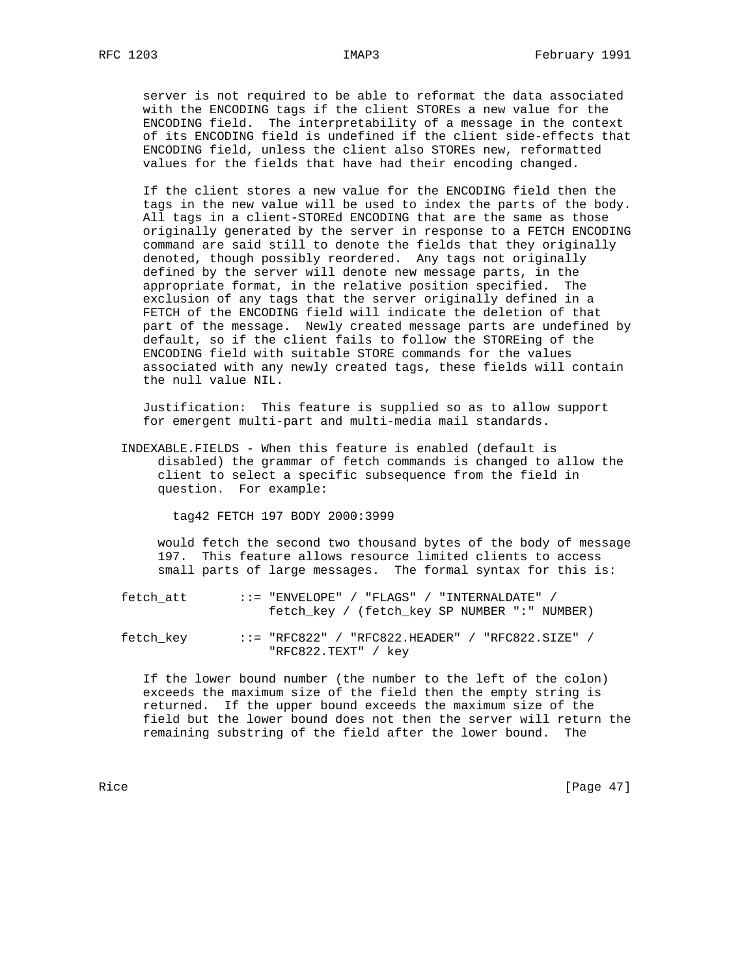server is not required to be able to reformat the data associated with the ENCODING tags if the client STOREs a new value for the ENCODING field. The interpretability of a message in the context of its ENCODING field is undefined if the client side-effects that ENCODING field, unless the client also STOREs new, reformatted values for the fields that have had their encoding changed.

 If the client stores a new value for the ENCODING field then the tags in the new value will be used to index the parts of the body. All tags in a client-STOREd ENCODING that are the same as those originally generated by the server in response to a FETCH ENCODING command are said still to denote the fields that they originally denoted, though possibly reordered. Any tags not originally defined by the server will denote new message parts, in the appropriate format, in the relative position specified. The exclusion of any tags that the server originally defined in a FETCH of the ENCODING field will indicate the deletion of that part of the message. Newly created message parts are undefined by default, so if the client fails to follow the STOREing of the ENCODING field with suitable STORE commands for the values associated with any newly created tags, these fields will contain the null value NIL.

 Justification: This feature is supplied so as to allow support for emergent multi-part and multi-media mail standards.

 INDEXABLE.FIELDS - When this feature is enabled (default is disabled) the grammar of fetch commands is changed to allow the client to select a specific subsequence from the field in question. For example:

tag42 FETCH 197 BODY 2000:3999

 would fetch the second two thousand bytes of the body of message 197. This feature allows resource limited clients to access small parts of large messages. The formal syntax for this is:

- fetch\_att ::= "ENVELOPE" / "FLAGS" / "INTERNALDATE" / fetch\_key / (fetch\_key SP NUMBER ":" NUMBER)
- fetch\_key ::= "RFC822" / "RFC822.HEADER" / "RFC822.SIZE" / "RFC822.TEXT" / key

 If the lower bound number (the number to the left of the colon) exceeds the maximum size of the field then the empty string is returned. If the upper bound exceeds the maximum size of the field but the lower bound does not then the server will return the remaining substring of the field after the lower bound. The

Rice [Page 47]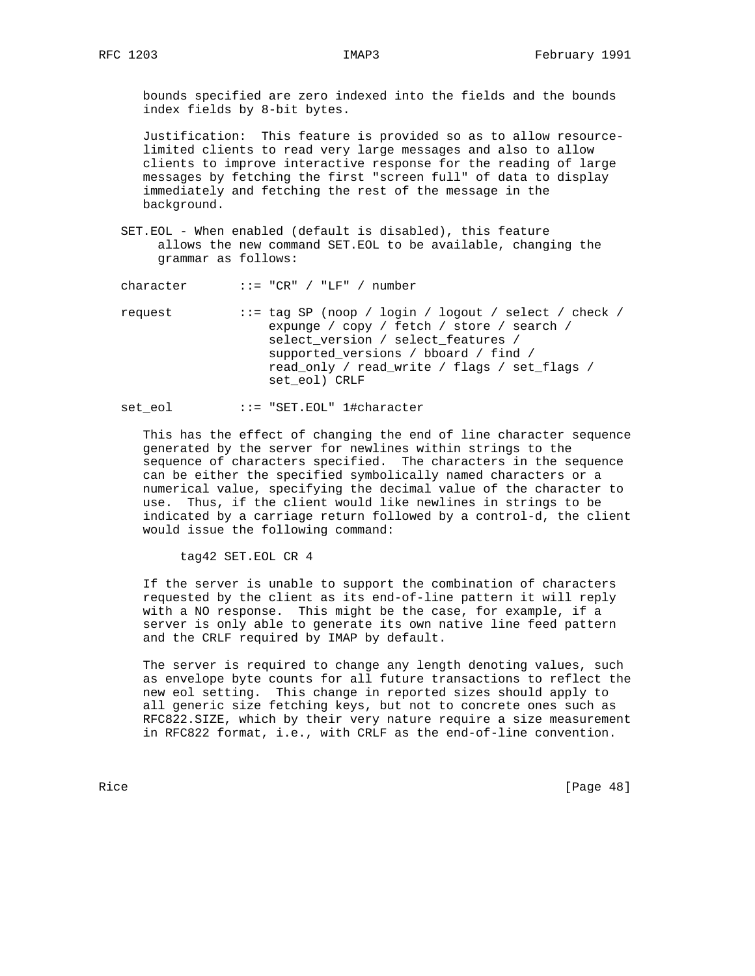bounds specified are zero indexed into the fields and the bounds index fields by 8-bit bytes.

 Justification: This feature is provided so as to allow resource limited clients to read very large messages and also to allow clients to improve interactive response for the reading of large messages by fetching the first "screen full" of data to display immediately and fetching the rest of the message in the background.

 SET.EOL - When enabled (default is disabled), this feature allows the new command SET.EOL to be available, changing the grammar as follows:

character ::= "CR" / "LF" / number

 request ::= tag SP (noop / login / logout / select / check / expunge / copy / fetch / store / search / select\_version / select\_features / supported\_versions / bboard / find / read\_only / read\_write / flags / set\_flags / set\_eol) CRLF

# set\_eol ::= "SET.EOL" 1#character

 This has the effect of changing the end of line character sequence generated by the server for newlines within strings to the sequence of characters specified. The characters in the sequence can be either the specified symbolically named characters or a numerical value, specifying the decimal value of the character to use. Thus, if the client would like newlines in strings to be indicated by a carriage return followed by a control-d, the client would issue the following command:

tag42 SET.EOL CR 4

 If the server is unable to support the combination of characters requested by the client as its end-of-line pattern it will reply with a NO response. This might be the case, for example, if a server is only able to generate its own native line feed pattern and the CRLF required by IMAP by default.

 The server is required to change any length denoting values, such as envelope byte counts for all future transactions to reflect the new eol setting. This change in reported sizes should apply to all generic size fetching keys, but not to concrete ones such as RFC822.SIZE, which by their very nature require a size measurement in RFC822 format, i.e., with CRLF as the end-of-line convention.